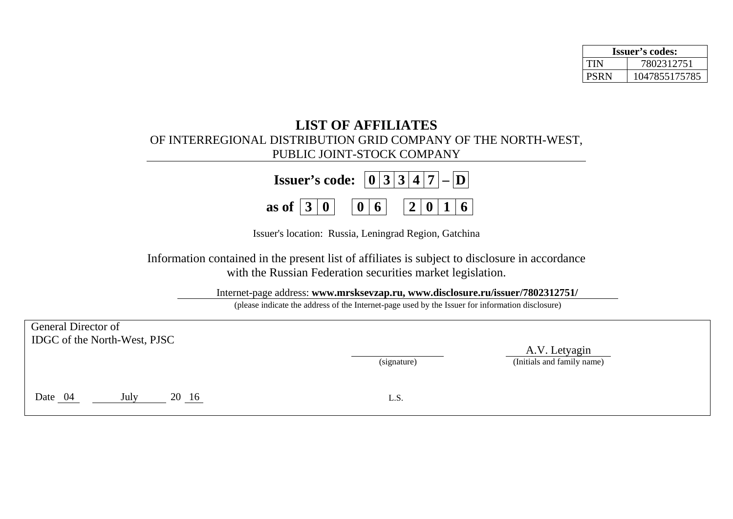| <b>Issuer's codes:</b> |               |  |  |  |  |
|------------------------|---------------|--|--|--|--|
| TIN                    | 7802312751    |  |  |  |  |
| <b>PSRN</b>            | 1047855175785 |  |  |  |  |

## **LIST OF AFFILIATES**  OF INTERREGIONAL DISTRIBUTION GRID COMPANY OF THE NORTH-WEST, PUBLIC JOINT-STOCK COMPANY

| <b>Issuer's code:</b> $\boxed{0 3 3 4 7}$ - $\boxed{D}$ |  |  |  |  |  |  |  |
|---------------------------------------------------------|--|--|--|--|--|--|--|
| as of $ 3 0 $ $ 0 6$ $ 2 0 16$                          |  |  |  |  |  |  |  |

Issuer's location: Russia, Leningrad Region, Gatchina

Information contained in the present list of affiliates is subject to disclosure in accordance with the Russian Federation securities market legislation.

Internet-page address: **www.mrsksevzap.ru, www.disclosure.ru/issuer/7802312751/** 

(please indicate the address of the Internet-page used by the Issuer for information disclosure)

| General Director of<br>IDGC of the North-West, PJSC |               |             |                                             |  |
|-----------------------------------------------------|---------------|-------------|---------------------------------------------|--|
|                                                     |               | (signature) | A.V. Letyagin<br>(Initials and family name) |  |
| Date 04                                             | July<br>20 16 | L.S.        |                                             |  |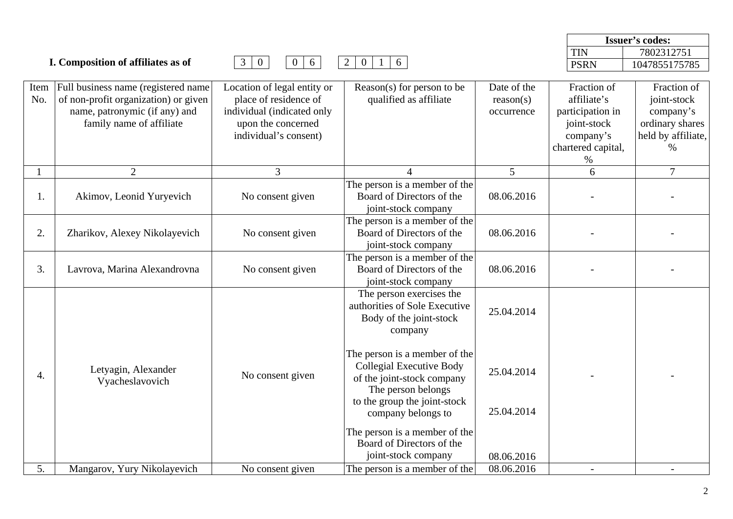|             |                                                                                                                                           |                                                                                                                                   |                                                                                                                                                                            |                                        |                                                                                                  | <b>Issuer's codes:</b>                                                                   |
|-------------|-------------------------------------------------------------------------------------------------------------------------------------------|-----------------------------------------------------------------------------------------------------------------------------------|----------------------------------------------------------------------------------------------------------------------------------------------------------------------------|----------------------------------------|--------------------------------------------------------------------------------------------------|------------------------------------------------------------------------------------------|
|             |                                                                                                                                           |                                                                                                                                   |                                                                                                                                                                            |                                        | <b>TIN</b>                                                                                       | 7802312751                                                                               |
|             | I. Composition of affiliates as of                                                                                                        | $\overline{0}$<br>6<br>$\mathfrak{Z}$<br>$\overline{0}$                                                                           | $\overline{2}$<br>$\overline{0}$<br>6<br>-1                                                                                                                                |                                        | <b>PSRN</b>                                                                                      | 1047855175785                                                                            |
| Item<br>No. | Full business name (registered name)<br>of non-profit organization) or given<br>name, patronymic (if any) and<br>family name of affiliate | Location of legal entity or<br>place of residence of<br>individual (indicated only<br>upon the concerned<br>individual's consent) | Reason(s) for person to be<br>qualified as affiliate                                                                                                                       | Date of the<br>reason(s)<br>occurrence | Fraction of<br>affiliate's<br>participation in<br>joint-stock<br>company's<br>chartered capital, | Fraction of<br>joint-stock<br>company's<br>ordinary shares<br>held by affiliate,<br>$\%$ |
|             |                                                                                                                                           |                                                                                                                                   |                                                                                                                                                                            |                                        | %                                                                                                |                                                                                          |
|             | $\overline{2}$                                                                                                                            | 3                                                                                                                                 |                                                                                                                                                                            | 5                                      | 6                                                                                                | $\overline{7}$                                                                           |
| 1.          | Akimov, Leonid Yuryevich                                                                                                                  | No consent given                                                                                                                  | The person is a member of the<br>Board of Directors of the<br>joint-stock company                                                                                          | 08.06.2016                             |                                                                                                  |                                                                                          |
| 2.          | Zharikov, Alexey Nikolayevich                                                                                                             | No consent given                                                                                                                  | The person is a member of the<br>Board of Directors of the<br>joint-stock company                                                                                          | 08.06.2016                             |                                                                                                  |                                                                                          |
| 3.          | Lavrova, Marina Alexandrovna                                                                                                              | No consent given                                                                                                                  | The person is a member of the<br>Board of Directors of the<br>joint-stock company                                                                                          | 08.06.2016                             |                                                                                                  |                                                                                          |
|             |                                                                                                                                           |                                                                                                                                   | The person exercises the<br>authorities of Sole Executive<br>Body of the joint-stock<br>company                                                                            | 25.04.2014                             |                                                                                                  |                                                                                          |
| 4.          | Letyagin, Alexander<br>Vyacheslavovich                                                                                                    | No consent given                                                                                                                  | The person is a member of the<br><b>Collegial Executive Body</b><br>of the joint-stock company<br>The person belongs<br>to the group the joint-stock<br>company belongs to | 25.04.2014<br>25.04.2014               |                                                                                                  |                                                                                          |
|             |                                                                                                                                           |                                                                                                                                   | The person is a member of the<br>Board of Directors of the<br>joint-stock company                                                                                          | 08.06.2016                             |                                                                                                  |                                                                                          |
| 5.          | Mangarov, Yury Nikolayevich                                                                                                               | No consent given                                                                                                                  | The person is a member of the                                                                                                                                              | 08.06.2016                             |                                                                                                  |                                                                                          |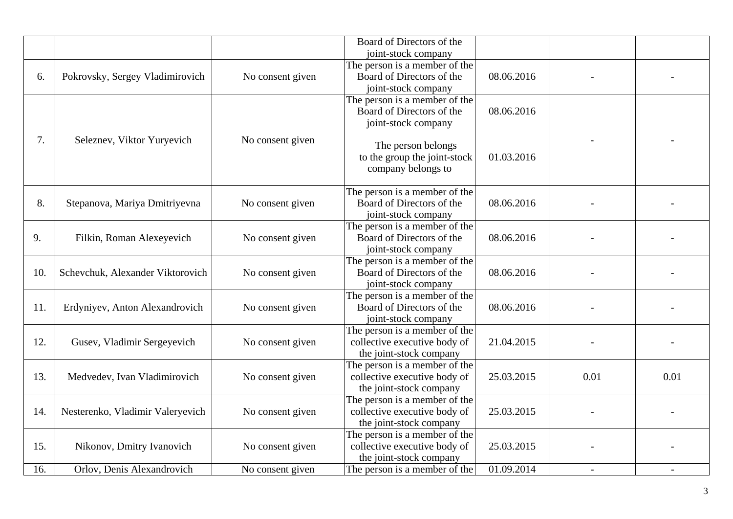|     |                                  |                  | Board of Directors of the<br>joint-stock company                                         |            |      |      |
|-----|----------------------------------|------------------|------------------------------------------------------------------------------------------|------------|------|------|
| 6.  | Pokrovsky, Sergey Vladimirovich  | No consent given | The person is a member of the<br>Board of Directors of the                               | 08.06.2016 |      |      |
|     |                                  |                  | joint-stock company                                                                      |            |      |      |
|     |                                  |                  | The person is a member of the<br>Board of Directors of the<br>joint-stock company        | 08.06.2016 |      |      |
| 7.  | Seleznev, Viktor Yuryevich       | No consent given | The person belongs<br>to the group the joint-stock<br>company belongs to                 | 01.03.2016 |      |      |
| 8.  | Stepanova, Mariya Dmitriyevna    | No consent given | The person is a member of the<br>Board of Directors of the<br>joint-stock company        | 08.06.2016 |      |      |
| 9.  | Filkin, Roman Alexeyevich        | No consent given | The person is a member of the<br>Board of Directors of the<br>joint-stock company        | 08.06.2016 |      |      |
| 10. | Schevchuk, Alexander Viktorovich | No consent given | The person is a member of the<br>Board of Directors of the<br>joint-stock company        | 08.06.2016 |      |      |
| 11. | Erdyniyev, Anton Alexandrovich   | No consent given | The person is a member of the<br>Board of Directors of the<br>joint-stock company        | 08.06.2016 |      |      |
| 12. | Gusev, Vladimir Sergeyevich      | No consent given | The person is a member of the<br>collective executive body of<br>the joint-stock company | 21.04.2015 |      |      |
| 13. | Medvedev, Ivan Vladimirovich     | No consent given | The person is a member of the<br>collective executive body of<br>the joint-stock company | 25.03.2015 | 0.01 | 0.01 |
| 14. | Nesterenko, Vladimir Valeryevich | No consent given | The person is a member of the<br>collective executive body of<br>the joint-stock company | 25.03.2015 |      |      |
| 15. | Nikonov, Dmitry Ivanovich        | No consent given | The person is a member of the<br>collective executive body of<br>the joint-stock company | 25.03.2015 |      |      |
| 16. | Orlov, Denis Alexandrovich       | No consent given | The person is a member of the                                                            | 01.09.2014 |      |      |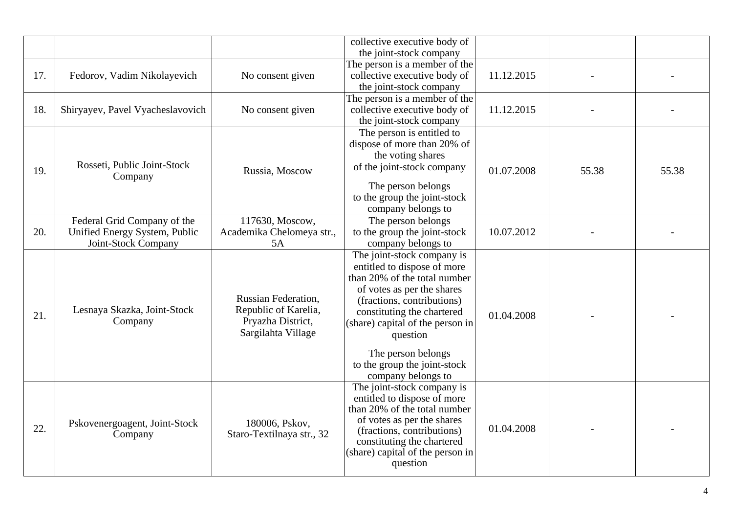|     |                                                                                     |                                                                                        | collective executive body of<br>the joint-stock company                                                                                                                                                                                                                                                         |            |       |       |
|-----|-------------------------------------------------------------------------------------|----------------------------------------------------------------------------------------|-----------------------------------------------------------------------------------------------------------------------------------------------------------------------------------------------------------------------------------------------------------------------------------------------------------------|------------|-------|-------|
| 17. | Fedorov, Vadim Nikolayevich                                                         | No consent given                                                                       | The person is a member of the<br>collective executive body of<br>the joint-stock company                                                                                                                                                                                                                        | 11.12.2015 |       |       |
| 18. | Shiryayev, Pavel Vyacheslavovich                                                    | No consent given                                                                       | The person is a member of the<br>collective executive body of<br>the joint-stock company                                                                                                                                                                                                                        | 11.12.2015 |       |       |
| 19. | Rosseti, Public Joint-Stock<br>Company                                              | Russia, Moscow                                                                         | The person is entitled to<br>dispose of more than 20% of<br>the voting shares<br>of the joint-stock company<br>The person belongs<br>to the group the joint-stock<br>company belongs to                                                                                                                         | 01.07.2008 | 55.38 | 55.38 |
| 20. | Federal Grid Company of the<br>Unified Energy System, Public<br>Joint-Stock Company | 117630, Moscow,<br>Academika Chelomeya str.,<br>5A                                     | The person belongs<br>to the group the joint-stock<br>company belongs to                                                                                                                                                                                                                                        | 10.07.2012 |       |       |
| 21. | Lesnaya Skazka, Joint-Stock<br>Company                                              | Russian Federation,<br>Republic of Karelia,<br>Pryazha District,<br>Sargilahta Village | The joint-stock company is<br>entitled to dispose of more<br>than 20% of the total number<br>of votes as per the shares<br>(fractions, contributions)<br>constituting the chartered<br>(share) capital of the person in<br>question<br>The person belongs<br>to the group the joint-stock<br>company belongs to | 01.04.2008 |       |       |
| 22. | Pskovenergoagent, Joint-Stock<br>Company                                            | 180006, Pskov,<br>Staro-Textilnaya str., 32                                            | The joint-stock company is<br>entitled to dispose of more<br>than 20% of the total number<br>of votes as per the shares<br>(fractions, contributions)<br>constituting the chartered<br>(share) capital of the person in<br>question                                                                             | 01.04.2008 |       |       |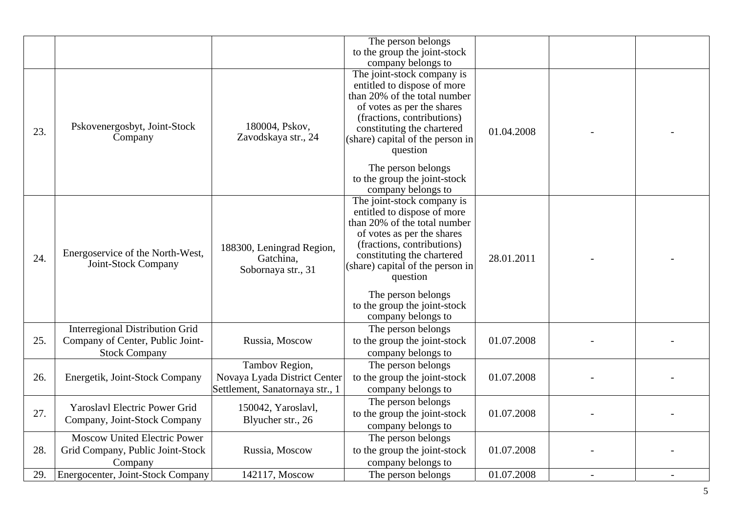|     |                                                         |                                                              | The person belongs                                                                                                                                                                                                                                                                                              |            |  |
|-----|---------------------------------------------------------|--------------------------------------------------------------|-----------------------------------------------------------------------------------------------------------------------------------------------------------------------------------------------------------------------------------------------------------------------------------------------------------------|------------|--|
|     |                                                         |                                                              | to the group the joint-stock                                                                                                                                                                                                                                                                                    |            |  |
|     |                                                         |                                                              | company belongs to                                                                                                                                                                                                                                                                                              |            |  |
| 23. | Pskovenergosbyt, Joint-Stock<br>Company                 | 180004, Pskov,<br>Zavodskaya str., 24                        | The joint-stock company is<br>entitled to dispose of more<br>than 20% of the total number<br>of votes as per the shares<br>(fractions, contributions)<br>constituting the chartered<br>(share) capital of the person in<br>question<br>The person belongs<br>to the group the joint-stock<br>company belongs to | 01.04.2008 |  |
| 24. | Energoservice of the North-West,<br>Joint-Stock Company | 188300, Leningrad Region,<br>Gatchina,<br>Sobornaya str., 31 | The joint-stock company is<br>entitled to dispose of more<br>than 20% of the total number<br>of votes as per the shares<br>(fractions, contributions)<br>constituting the chartered<br>(share) capital of the person in<br>question<br>The person belongs                                                       | 28.01.2011 |  |
|     |                                                         |                                                              | to the group the joint-stock<br>company belongs to                                                                                                                                                                                                                                                              |            |  |
|     | <b>Interregional Distribution Grid</b>                  |                                                              | The person belongs                                                                                                                                                                                                                                                                                              |            |  |
| 25. | Company of Center, Public Joint-                        | Russia, Moscow                                               | to the group the joint-stock                                                                                                                                                                                                                                                                                    | 01.07.2008 |  |
|     | <b>Stock Company</b>                                    |                                                              | company belongs to                                                                                                                                                                                                                                                                                              |            |  |
|     |                                                         | Tambov Region,                                               | The person belongs                                                                                                                                                                                                                                                                                              |            |  |
| 26. | Energetik, Joint-Stock Company                          | Novaya Lyada District Center                                 | to the group the joint-stock                                                                                                                                                                                                                                                                                    | 01.07.2008 |  |
|     |                                                         | Settlement, Sanatornaya str., 1                              | company belongs to                                                                                                                                                                                                                                                                                              |            |  |
|     |                                                         |                                                              | The person belongs                                                                                                                                                                                                                                                                                              |            |  |
| 27. | Yaroslavl Electric Power Grid                           | 150042, Yaroslavl,                                           | to the group the joint-stock                                                                                                                                                                                                                                                                                    | 01.07.2008 |  |
|     | Company, Joint-Stock Company                            | Blyucher str., 26                                            | company belongs to                                                                                                                                                                                                                                                                                              |            |  |
|     | <b>Moscow United Electric Power</b>                     |                                                              | The person belongs                                                                                                                                                                                                                                                                                              |            |  |
| 28. | Grid Company, Public Joint-Stock                        | Russia, Moscow                                               | to the group the joint-stock                                                                                                                                                                                                                                                                                    | 01.07.2008 |  |
|     | Company                                                 |                                                              | company belongs to                                                                                                                                                                                                                                                                                              |            |  |
| 29. | Energocenter, Joint-Stock Company                       | 142117, Moscow                                               | The person belongs                                                                                                                                                                                                                                                                                              | 01.07.2008 |  |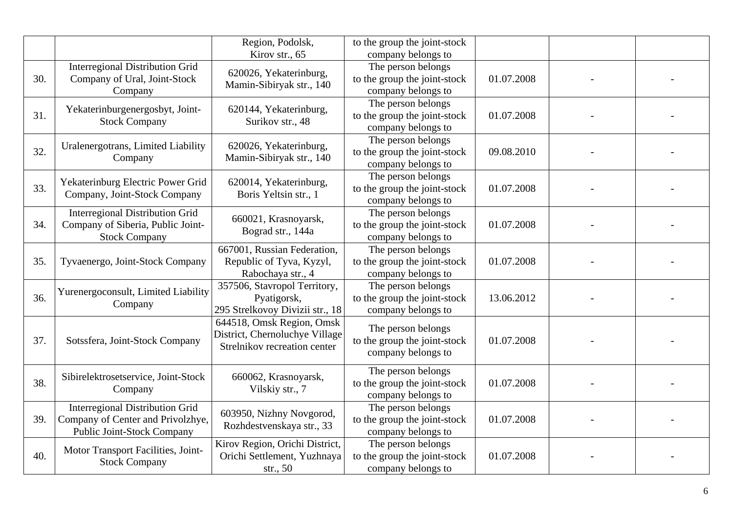|     |                                                                                                                  | Region, Podolsk,<br>Kirov str., 65                                                          | to the group the joint-stock<br>company belongs to                       |            |  |
|-----|------------------------------------------------------------------------------------------------------------------|---------------------------------------------------------------------------------------------|--------------------------------------------------------------------------|------------|--|
| 30. | <b>Interregional Distribution Grid</b><br>Company of Ural, Joint-Stock<br>Company                                | 620026, Yekaterinburg,<br>Mamin-Sibiryak str., 140                                          | The person belongs<br>to the group the joint-stock<br>company belongs to | 01.07.2008 |  |
| 31. | Yekaterinburgenergosbyt, Joint-<br><b>Stock Company</b>                                                          | 620144, Yekaterinburg,<br>Surikov str., 48                                                  | The person belongs<br>to the group the joint-stock<br>company belongs to | 01.07.2008 |  |
| 32. | Uralenergotrans, Limited Liability<br>Company                                                                    | 620026, Yekaterinburg,<br>Mamin-Sibiryak str., 140                                          | The person belongs<br>to the group the joint-stock<br>company belongs to | 09.08.2010 |  |
| 33. | Yekaterinburg Electric Power Grid<br>Company, Joint-Stock Company                                                | 620014, Yekaterinburg,<br>Boris Yeltsin str., 1                                             | The person belongs<br>to the group the joint-stock<br>company belongs to | 01.07.2008 |  |
| 34. | <b>Interregional Distribution Grid</b><br>Company of Siberia, Public Joint-<br><b>Stock Company</b>              | 660021, Krasnoyarsk,<br>Bograd str., 144a                                                   | The person belongs<br>to the group the joint-stock<br>company belongs to | 01.07.2008 |  |
| 35. | Tyvaenergo, Joint-Stock Company                                                                                  | 667001, Russian Federation,<br>Republic of Tyva, Kyzyl,<br>Rabochaya str., 4                | The person belongs<br>to the group the joint-stock<br>company belongs to | 01.07.2008 |  |
| 36. | Yurenergoconsult, Limited Liability<br>Company                                                                   | 357506, Stavropol Territory,<br>Pyatigorsk,<br>295 Strelkovoy Divizii str., 18              | The person belongs<br>to the group the joint-stock<br>company belongs to | 13.06.2012 |  |
| 37. | Sotssfera, Joint-Stock Company                                                                                   | 644518, Omsk Region, Omsk<br>District, Chernoluchye Village<br>Strelnikov recreation center | The person belongs<br>to the group the joint-stock<br>company belongs to | 01.07.2008 |  |
| 38. | Sibirelektrosetservice, Joint-Stock<br>Company                                                                   | 660062, Krasnoyarsk,<br>Vilskiy str., 7                                                     | The person belongs<br>to the group the joint-stock<br>company belongs to | 01.07.2008 |  |
| 39. | <b>Interregional Distribution Grid</b><br>Company of Center and Privolzhye,<br><b>Public Joint-Stock Company</b> | 603950, Nizhny Novgorod,<br>Rozhdestvenskaya str., 33                                       | The person belongs<br>to the group the joint-stock<br>company belongs to | 01.07.2008 |  |
| 40. | Motor Transport Facilities, Joint-<br><b>Stock Company</b>                                                       | Kirov Region, Orichi District,<br>Orichi Settlement, Yuzhnaya<br>str., $50$                 | The person belongs<br>to the group the joint-stock<br>company belongs to | 01.07.2008 |  |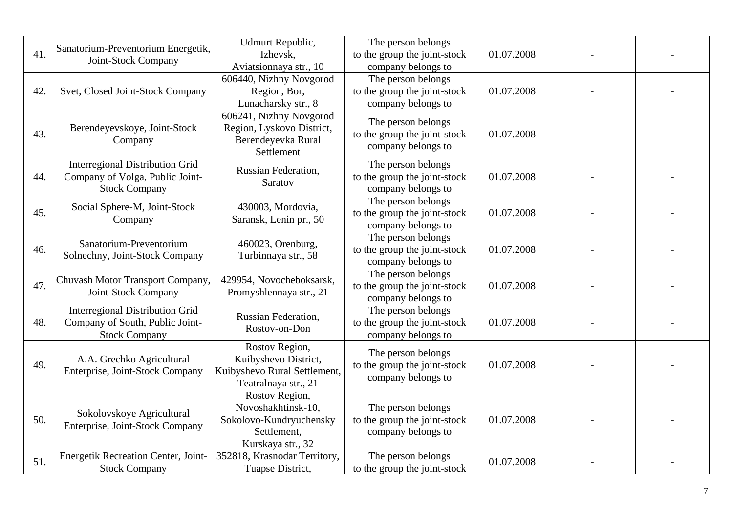|     | Sanatorium-Preventorium Energetik,                           | Udmurt Republic,                                    | The person belongs                                 |            |  |
|-----|--------------------------------------------------------------|-----------------------------------------------------|----------------------------------------------------|------------|--|
| 41. | Joint-Stock Company                                          | Izhevsk,                                            | to the group the joint-stock                       | 01.07.2008 |  |
|     |                                                              | Aviatsionnaya str., 10                              | company belongs to                                 |            |  |
| 42. | Svet, Closed Joint-Stock Company                             | 606440, Nizhny Novgorod                             | The person belongs                                 | 01.07.2008 |  |
|     |                                                              | Region, Bor,<br>Lunacharsky str., 8                 | to the group the joint-stock<br>company belongs to |            |  |
|     |                                                              | 606241, Nizhny Novgorod                             |                                                    |            |  |
|     | Berendeyevskoye, Joint-Stock                                 | Region, Lyskovo District,                           | The person belongs                                 |            |  |
| 43. | Company                                                      | Berendeyevka Rural                                  | to the group the joint-stock                       | 01.07.2008 |  |
|     |                                                              | Settlement                                          | company belongs to                                 |            |  |
|     | <b>Interregional Distribution Grid</b>                       | Russian Federation,                                 | The person belongs                                 |            |  |
| 44. | Company of Volga, Public Joint-                              | Saratov                                             | to the group the joint-stock                       | 01.07.2008 |  |
|     | <b>Stock Company</b>                                         |                                                     | company belongs to                                 |            |  |
|     | Social Sphere-M, Joint-Stock<br>Company                      | 430003, Mordovia,                                   | The person belongs                                 |            |  |
| 45. |                                                              | Saransk, Lenin pr., 50                              | to the group the joint-stock                       | 01.07.2008 |  |
|     |                                                              |                                                     | company belongs to<br>The person belongs           |            |  |
| 46. | Sanatorium-Preventorium<br>Solnechny, Joint-Stock Company    | 460023, Orenburg,                                   |                                                    | 01.07.2008 |  |
|     |                                                              | Turbinnaya str., 58                                 | to the group the joint-stock<br>company belongs to |            |  |
|     | Chuvash Motor Transport Company,<br>Joint-Stock Company      | 429954, Novocheboksarsk,<br>Promyshlennaya str., 21 | The person belongs                                 |            |  |
| 47. |                                                              |                                                     | to the group the joint-stock                       | 01.07.2008 |  |
|     |                                                              |                                                     | company belongs to                                 |            |  |
|     | <b>Interregional Distribution Grid</b>                       | <b>Russian Federation,</b>                          | The person belongs                                 |            |  |
| 48. | Company of South, Public Joint-                              | Rostov-on-Don                                       | to the group the joint-stock                       | 01.07.2008 |  |
|     | <b>Stock Company</b>                                         |                                                     | company belongs to                                 |            |  |
|     | A.A. Grechko Agricultural                                    | Rostov Region,<br>Kuibyshevo District,              | The person belongs                                 |            |  |
| 49. | Enterprise, Joint-Stock Company                              | Kuibyshevo Rural Settlement,                        | to the group the joint-stock                       | 01.07.2008 |  |
|     |                                                              | Teatralnaya str., 21                                | company belongs to                                 |            |  |
|     |                                                              | Rostov Region,                                      |                                                    |            |  |
|     |                                                              | Novoshakhtinsk-10,                                  | The person belongs                                 |            |  |
| 50. | Sokolovskoye Agricultural<br>Enterprise, Joint-Stock Company | Sokolovo-Kundryuchensky                             | to the group the joint-stock                       | 01.07.2008 |  |
|     |                                                              | Settlement,                                         | company belongs to                                 |            |  |
|     |                                                              | Kurskaya str., 32                                   |                                                    |            |  |
| 51. | <b>Energetik Recreation Center, Joint-</b>                   | 352818, Krasnodar Territory,                        | The person belongs                                 | 01.07.2008 |  |
|     | <b>Stock Company</b>                                         | Tuapse District,                                    | to the group the joint-stock                       |            |  |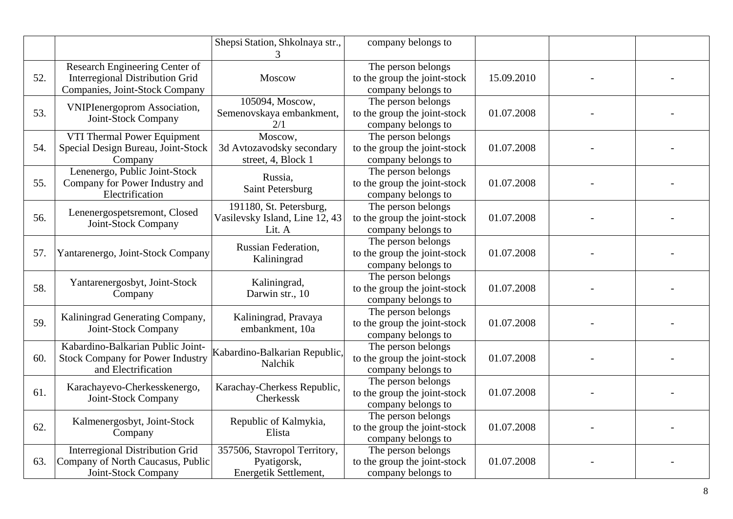|     |                                                                                                     | Shepsi Station, Shkolnaya str.,                                      | company belongs to                                                       |            |  |
|-----|-----------------------------------------------------------------------------------------------------|----------------------------------------------------------------------|--------------------------------------------------------------------------|------------|--|
| 52. | Research Engineering Center of<br>Interregional Distribution Grid<br>Companies, Joint-Stock Company | Moscow                                                               | The person belongs<br>to the group the joint-stock<br>company belongs to | 15.09.2010 |  |
| 53. | <b>VNIPIenergoprom Association,</b><br>Joint-Stock Company                                          | 105094, Moscow,<br>Semenovskaya embankment,<br>2/1                   | The person belongs<br>to the group the joint-stock<br>company belongs to | 01.07.2008 |  |
| 54. | VTI Thermal Power Equipment<br>Special Design Bureau, Joint-Stock<br>Company                        | Moscow,<br>3d Avtozavodsky secondary<br>street, 4, Block 1           | The person belongs<br>to the group the joint-stock<br>company belongs to | 01.07.2008 |  |
| 55. | Lenenergo, Public Joint-Stock<br>Company for Power Industry and<br>Electrification                  | Russia,<br>Saint Petersburg                                          | The person belongs<br>to the group the joint-stock<br>company belongs to | 01.07.2008 |  |
| 56. | Lenenergospetsremont, Closed<br>Joint-Stock Company                                                 | 191180, St. Petersburg,<br>Vasilevsky Island, Line 12, 43<br>Lit. A  | The person belongs<br>to the group the joint-stock<br>company belongs to | 01.07.2008 |  |
| 57. | Yantarenergo, Joint-Stock Company                                                                   | Russian Federation,<br>Kaliningrad                                   | The person belongs<br>to the group the joint-stock<br>company belongs to | 01.07.2008 |  |
| 58. | Yantarenergosbyt, Joint-Stock<br>Company                                                            | Kaliningrad,<br>Darwin str., 10                                      | The person belongs<br>to the group the joint-stock<br>company belongs to | 01.07.2008 |  |
| 59. | Kaliningrad Generating Company,<br>Joint-Stock Company                                              | Kaliningrad, Pravaya<br>embankment, 10a                              | The person belongs<br>to the group the joint-stock<br>company belongs to | 01.07.2008 |  |
| 60. | Kabardino-Balkarian Public Joint-<br><b>Stock Company for Power Industry</b><br>and Electrification | Kabardino-Balkarian Republic,<br>Nalchik                             | The person belongs<br>to the group the joint-stock<br>company belongs to | 01.07.2008 |  |
| 61. | Karachayevo-Cherkesskenergo,<br>Joint-Stock Company                                                 | Karachay-Cherkess Republic,<br>Cherkessk                             | The person belongs<br>to the group the joint-stock<br>company belongs to | 01.07.2008 |  |
| 62. | Kalmenergosbyt, Joint-Stock<br>Company                                                              | Republic of Kalmykia,<br>Elista                                      | The person belongs<br>to the group the joint-stock<br>company belongs to | 01.07.2008 |  |
| 63. | <b>Interregional Distribution Grid</b><br>Company of North Caucasus, Public<br>Joint-Stock Company  | 357506, Stavropol Territory,<br>Pyatigorsk,<br>Energetik Settlement, | The person belongs<br>to the group the joint-stock<br>company belongs to | 01.07.2008 |  |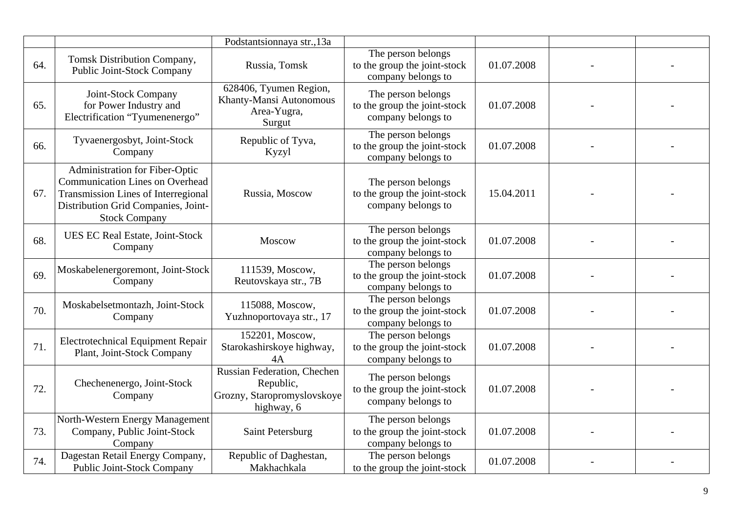|     |                                                                                                                                                                                              | Podstantsionnaya str., 13a                                                            |                                                                          |            |  |
|-----|----------------------------------------------------------------------------------------------------------------------------------------------------------------------------------------------|---------------------------------------------------------------------------------------|--------------------------------------------------------------------------|------------|--|
| 64. | Tomsk Distribution Company,<br>Public Joint-Stock Company                                                                                                                                    | Russia, Tomsk                                                                         | The person belongs<br>to the group the joint-stock<br>company belongs to | 01.07.2008 |  |
| 65. | Joint-Stock Company<br>for Power Industry and<br>Electrification "Tyumenenergo"                                                                                                              | 628406, Tyumen Region,<br>Khanty-Mansi Autonomous<br>Area-Yugra,<br>Surgut            | The person belongs<br>to the group the joint-stock<br>company belongs to | 01.07.2008 |  |
| 66. | Tyvaenergosbyt, Joint-Stock<br>Company                                                                                                                                                       | Republic of Tyva,<br>Kyzyl                                                            | The person belongs<br>to the group the joint-stock<br>company belongs to | 01.07.2008 |  |
| 67. | <b>Administration for Fiber-Optic</b><br><b>Communication Lines on Overhead</b><br><b>Transmission Lines of Interregional</b><br>Distribution Grid Companies, Joint-<br><b>Stock Company</b> | Russia, Moscow                                                                        | The person belongs<br>to the group the joint-stock<br>company belongs to | 15.04.2011 |  |
| 68. | UES EC Real Estate, Joint-Stock<br>Company                                                                                                                                                   | Moscow                                                                                | The person belongs<br>to the group the joint-stock<br>company belongs to | 01.07.2008 |  |
| 69. | Moskabelenergoremont, Joint-Stock<br>Company                                                                                                                                                 | 111539, Moscow,<br>Reutovskaya str., 7B                                               | The person belongs<br>to the group the joint-stock<br>company belongs to | 01.07.2008 |  |
| 70. | Moskabelsetmontazh, Joint-Stock<br>Company                                                                                                                                                   | 115088, Moscow,<br>Yuzhnoportovaya str., 17                                           | The person belongs<br>to the group the joint-stock<br>company belongs to | 01.07.2008 |  |
| 71. | <b>Electrotechnical Equipment Repair</b><br>Plant, Joint-Stock Company                                                                                                                       | 152201, Moscow,<br>Starokashirskoye highway,<br>4A                                    | The person belongs<br>to the group the joint-stock<br>company belongs to | 01.07.2008 |  |
| 72. | Chechenenergo, Joint-Stock<br>Company                                                                                                                                                        | Russian Federation, Chechen<br>Republic,<br>Grozny, Staropromyslovskoye<br>highway, 6 | The person belongs<br>to the group the joint-stock<br>company belongs to | 01.07.2008 |  |
| 73. | North-Western Energy Management<br>Company, Public Joint-Stock<br>Company                                                                                                                    | Saint Petersburg                                                                      | The person belongs<br>to the group the joint-stock<br>company belongs to | 01.07.2008 |  |
| 74. | Dagestan Retail Energy Company,<br><b>Public Joint-Stock Company</b>                                                                                                                         | Republic of Daghestan,<br>Makhachkala                                                 | The person belongs<br>to the group the joint-stock                       | 01.07.2008 |  |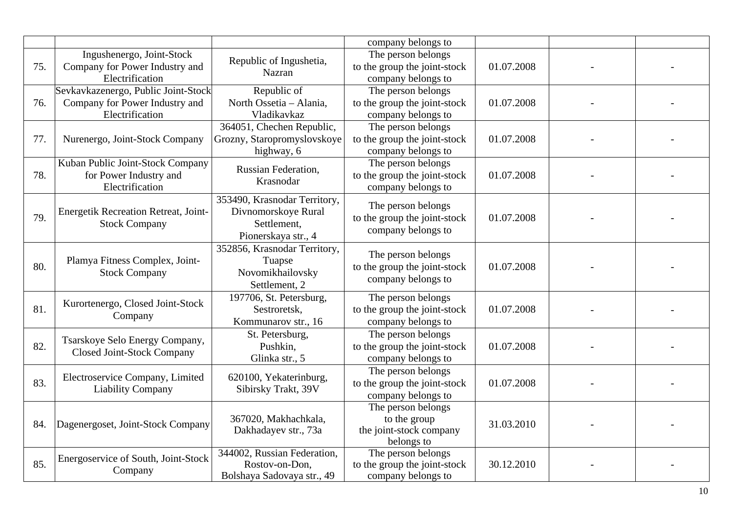|     |                                                                                          |                                                                                           | company belongs to                                                          |            |  |
|-----|------------------------------------------------------------------------------------------|-------------------------------------------------------------------------------------------|-----------------------------------------------------------------------------|------------|--|
| 75. | Ingushenergo, Joint-Stock<br>Company for Power Industry and<br>Electrification           | Republic of Ingushetia,<br>Nazran                                                         | The person belongs<br>to the group the joint-stock<br>company belongs to    | 01.07.2008 |  |
| 76. | Sevkavkazenergo, Public Joint-Stock<br>Company for Power Industry and<br>Electrification | Republic of<br>North Ossetia - Alania,<br>Vladikavkaz                                     | The person belongs<br>to the group the joint-stock<br>company belongs to    | 01.07.2008 |  |
| 77. | Nurenergo, Joint-Stock Company                                                           | 364051, Chechen Republic,<br>Grozny, Staropromyslovskoye<br>highway, 6                    | The person belongs<br>to the group the joint-stock<br>company belongs to    | 01.07.2008 |  |
| 78. | Kuban Public Joint-Stock Company<br>for Power Industry and<br>Electrification            | Russian Federation,<br>Krasnodar                                                          | The person belongs<br>to the group the joint-stock<br>company belongs to    | 01.07.2008 |  |
| 79. | Energetik Recreation Retreat, Joint-<br><b>Stock Company</b>                             | 353490, Krasnodar Territory,<br>Divnomorskoye Rural<br>Settlement,<br>Pionerskaya str., 4 | The person belongs<br>to the group the joint-stock<br>company belongs to    | 01.07.2008 |  |
| 80. | Plamya Fitness Complex, Joint-<br><b>Stock Company</b>                                   | 352856, Krasnodar Territory,<br>Tuapse<br>Novomikhailovsky<br>Settlement, 2               | The person belongs<br>to the group the joint-stock<br>company belongs to    | 01.07.2008 |  |
| 81. | Kurortenergo, Closed Joint-Stock<br>Company                                              | 197706, St. Petersburg,<br>Sestroretsk,<br>Kommunarov str., 16                            | The person belongs<br>to the group the joint-stock<br>company belongs to    | 01.07.2008 |  |
| 82. | Tsarskoye Selo Energy Company,<br><b>Closed Joint-Stock Company</b>                      | St. Petersburg,<br>Pushkin,<br>Glinka str., 5                                             | The person belongs<br>to the group the joint-stock<br>company belongs to    | 01.07.2008 |  |
| 83. | Electroservice Company, Limited<br><b>Liability Company</b>                              | 620100, Yekaterinburg,<br>Sibirsky Trakt, 39V                                             | The person belongs<br>to the group the joint-stock<br>company belongs to    | 01.07.2008 |  |
| 84. | Dagenergoset, Joint-Stock Company                                                        | 367020, Makhachkala,<br>Dakhadayev str., 73a                                              | The person belongs<br>to the group<br>the joint-stock company<br>belongs to | 31.03.2010 |  |
| 85. | Energoservice of South, Joint-Stock<br>Company                                           | 344002, Russian Federation,<br>Rostov-on-Don,<br>Bolshaya Sadovaya str., 49               | The person belongs<br>to the group the joint-stock<br>company belongs to    | 30.12.2010 |  |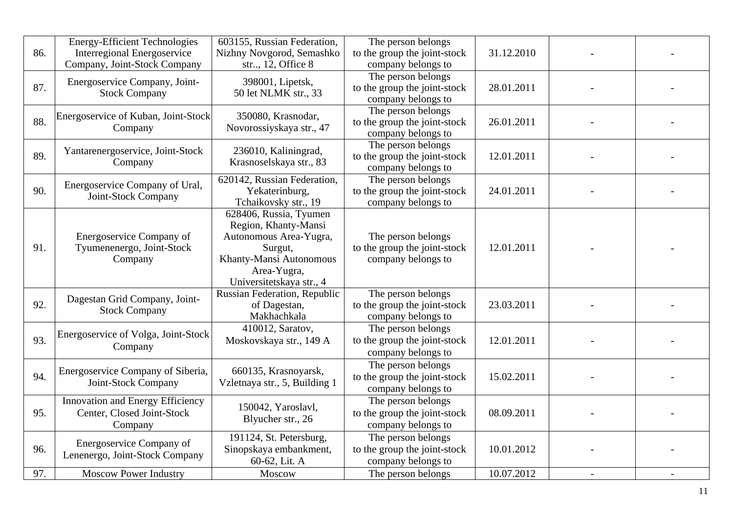| 86. | <b>Energy-Efficient Technologies</b><br>Interregional Energoservice<br>Company, Joint-Stock Company | 603155, Russian Federation,<br>Nizhny Novgorod, Semashko<br>str, 12, Office 8                                                                             | The person belongs<br>to the group the joint-stock<br>company belongs to                       | 31.12.2010 |  |
|-----|-----------------------------------------------------------------------------------------------------|-----------------------------------------------------------------------------------------------------------------------------------------------------------|------------------------------------------------------------------------------------------------|------------|--|
| 87. | Energoservice Company, Joint-<br><b>Stock Company</b>                                               | 398001, Lipetsk,<br>50 let NLMK str., 33                                                                                                                  | The person belongs<br>to the group the joint-stock<br>company belongs to                       | 28.01.2011 |  |
| 88. | Energoservice of Kuban, Joint-Stock<br>Company                                                      | 350080, Krasnodar,<br>Novorossiyskaya str., 47                                                                                                            | The person belongs<br>to the group the joint-stock<br>company belongs to                       | 26.01.2011 |  |
| 89. | Yantarenergoservice, Joint-Stock<br>Company                                                         | 236010, Kaliningrad,<br>Krasnoselskaya str., 83                                                                                                           | The person belongs<br>to the group the joint-stock<br>company belongs to                       | 12.01.2011 |  |
| 90. | Energoservice Company of Ural,<br>Joint-Stock Company                                               | 620142, Russian Federation,<br>Yekaterinburg,<br>Tchaikovsky str., 19                                                                                     | The person belongs<br>to the group the joint-stock<br>company belongs to                       | 24.01.2011 |  |
| 91. | Energoservice Company of<br>Tyumenenergo, Joint-Stock<br>Company                                    | 628406, Russia, Tyumen<br>Region, Khanty-Mansi<br>Autonomous Area-Yugra,<br>Surgut,<br>Khanty-Mansi Autonomous<br>Area-Yugra,<br>Universitetskaya str., 4 | The person belongs<br>to the group the joint-stock<br>company belongs to                       | 12.01.2011 |  |
| 92. | Dagestan Grid Company, Joint-<br><b>Stock Company</b>                                               | Russian Federation, Republic<br>of Dagestan,<br>Makhachkala                                                                                               | The person belongs<br>to the group the joint-stock<br>company belongs to                       | 23.03.2011 |  |
| 93. | Energoservice of Volga, Joint-Stock<br>Company                                                      | 410012, Saratov,<br>Moskovskaya str., 149 A                                                                                                               | The person belongs<br>to the group the joint-stock<br>company belongs to                       | 12.01.2011 |  |
| 94. | Energoservice Company of Siberia,<br>Joint-Stock Company                                            | 660135, Krasnoyarsk,<br>Vzletnaya str., 5, Building 1                                                                                                     | The person belongs<br>to the group the joint-stock<br>company belongs to                       | 15.02.2011 |  |
| 95. | Innovation and Energy Efficiency<br>Center, Closed Joint-Stock<br>Company                           | 150042, Yaroslavl,<br>Blyucher str., 26                                                                                                                   | The person belongs<br>to the group the joint-stock<br>company belongs to                       | 08.09.2011 |  |
| 96. | Energoservice Company of<br>Lenenergo, Joint-Stock Company                                          | 191124, St. Petersburg,<br>Sinopskaya embankment,<br>60-62, Lit. A                                                                                        | The person belongs<br>to the group the joint-stock<br>company belongs to<br>The person belongs | 10.01.2012 |  |
| 97. | <b>Moscow Power Industry</b>                                                                        | Moscow                                                                                                                                                    |                                                                                                | 10.07.2012 |  |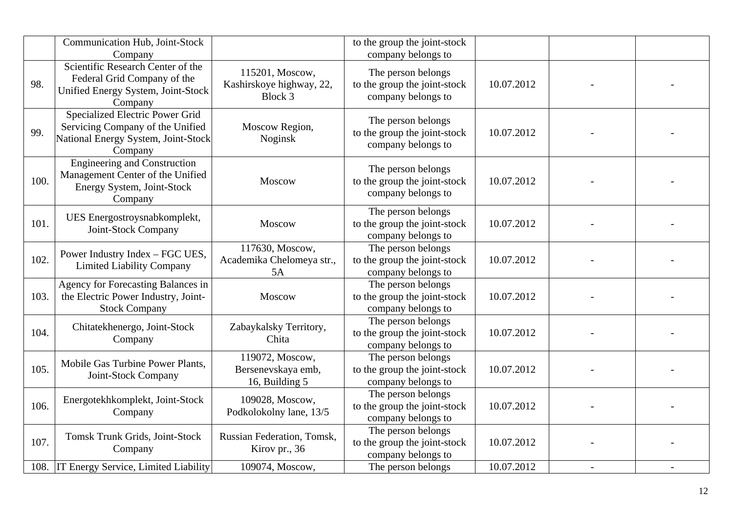|      | Communication Hub, Joint-Stock<br>Company                                                                             |                                                         | to the group the joint-stock<br>company belongs to                       |            |  |
|------|-----------------------------------------------------------------------------------------------------------------------|---------------------------------------------------------|--------------------------------------------------------------------------|------------|--|
| 98.  | Scientific Research Center of the<br>Federal Grid Company of the<br>Unified Energy System, Joint-Stock<br>Company     | 115201, Moscow,<br>Kashirskoye highway, 22,<br>Block 3  | The person belongs<br>to the group the joint-stock<br>company belongs to | 10.07.2012 |  |
| 99.  | Specialized Electric Power Grid<br>Servicing Company of the Unified<br>National Energy System, Joint-Stock<br>Company | Moscow Region,<br>Noginsk                               | The person belongs<br>to the group the joint-stock<br>company belongs to | 10.07.2012 |  |
| 100. | <b>Engineering and Construction</b><br>Management Center of the Unified<br>Energy System, Joint-Stock<br>Company      | Moscow                                                  | The person belongs<br>to the group the joint-stock<br>company belongs to | 10.07.2012 |  |
| 101. | UES Energostroysnabkomplekt,<br>Joint-Stock Company                                                                   | Moscow                                                  | The person belongs<br>to the group the joint-stock<br>company belongs to | 10.07.2012 |  |
| 102. | Power Industry Index - FGC UES,<br><b>Limited Liability Company</b>                                                   | 117630, Moscow,<br>Academika Chelomeya str.,<br>5A      | The person belongs<br>to the group the joint-stock<br>company belongs to | 10.07.2012 |  |
| 103. | Agency for Forecasting Balances in<br>the Electric Power Industry, Joint-<br><b>Stock Company</b>                     | Moscow                                                  | The person belongs<br>to the group the joint-stock<br>company belongs to | 10.07.2012 |  |
| 104. | Chitatekhenergo, Joint-Stock<br>Company                                                                               | Zabaykalsky Territory,<br>Chita                         | The person belongs<br>to the group the joint-stock<br>company belongs to | 10.07.2012 |  |
| 105. | Mobile Gas Turbine Power Plants,<br>Joint-Stock Company                                                               | 119072, Moscow,<br>Bersenevskaya emb,<br>16, Building 5 | The person belongs<br>to the group the joint-stock<br>company belongs to | 10.07.2012 |  |
| 106. | Energotekhkomplekt, Joint-Stock<br>Company                                                                            | 109028, Moscow,<br>Podkolokolny lane, 13/5              | The person belongs<br>to the group the joint-stock<br>company belongs to | 10.07.2012 |  |
| 107. | Tomsk Trunk Grids, Joint-Stock<br>Company                                                                             | Russian Federation, Tomsk,<br>Kirov pr., 36             | The person belongs<br>to the group the joint-stock<br>company belongs to | 10.07.2012 |  |
|      | 108. IT Energy Service, Limited Liability                                                                             | 109074, Moscow,                                         | The person belongs                                                       | 10.07.2012 |  |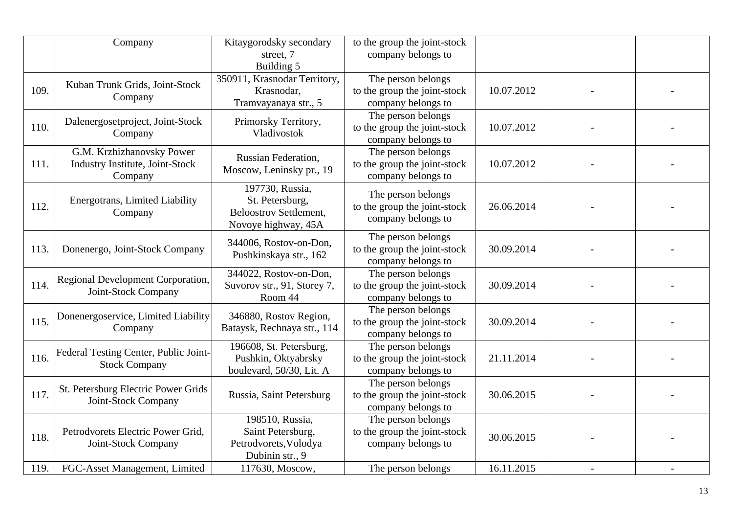|      | Company                                                                        | Kitaygorodsky secondary<br>street, 7<br>Building 5                                         | to the group the joint-stock<br>company belongs to                       |            |  |
|------|--------------------------------------------------------------------------------|--------------------------------------------------------------------------------------------|--------------------------------------------------------------------------|------------|--|
| 109. | Kuban Trunk Grids, Joint-Stock<br>Company                                      | 350911, Krasnodar Territory,<br>Krasnodar,<br>Tramvayanaya str., 5                         | The person belongs<br>to the group the joint-stock<br>company belongs to | 10.07.2012 |  |
| 110. | Dalenergosetproject, Joint-Stock<br>Company                                    | Primorsky Territory,<br>Vladivostok                                                        | The person belongs<br>to the group the joint-stock<br>company belongs to | 10.07.2012 |  |
| 111. | G.M. Krzhizhanovsky Power<br><b>Industry Institute, Joint-Stock</b><br>Company | Russian Federation,<br>Moscow, Leninsky pr., 19                                            | The person belongs<br>to the group the joint-stock<br>company belongs to | 10.07.2012 |  |
| 112. | <b>Energotrans, Limited Liability</b><br>Company                               | 197730, Russia,<br>St. Petersburg,<br><b>Beloostrov Settlement,</b><br>Novoye highway, 45A | The person belongs<br>to the group the joint-stock<br>company belongs to | 26.06.2014 |  |
| 113. | Donenergo, Joint-Stock Company                                                 | 344006, Rostov-on-Don,<br>Pushkinskaya str., 162                                           | The person belongs<br>to the group the joint-stock<br>company belongs to | 30.09.2014 |  |
| 114. | Regional Development Corporation,<br>Joint-Stock Company                       | 344022, Rostov-on-Don,<br>Suvorov str., 91, Storey 7,<br>Room 44                           | The person belongs<br>to the group the joint-stock<br>company belongs to | 30.09.2014 |  |
| 115. | Donenergoservice, Limited Liability<br>Company                                 | 346880, Rostov Region,<br>Bataysk, Rechnaya str., 114                                      | The person belongs<br>to the group the joint-stock<br>company belongs to | 30.09.2014 |  |
| 116. | Federal Testing Center, Public Joint-<br><b>Stock Company</b>                  | 196608, St. Petersburg,<br>Pushkin, Oktyabrsky<br>boulevard, 50/30, Lit. A                 | The person belongs<br>to the group the joint-stock<br>company belongs to | 21.11.2014 |  |
| 117. | St. Petersburg Electric Power Grids<br>Joint-Stock Company                     | Russia, Saint Petersburg                                                                   | The person belongs<br>to the group the joint-stock<br>company belongs to | 30.06.2015 |  |
| 118. | Petrodvorets Electric Power Grid,<br>Joint-Stock Company                       | 198510, Russia,<br>Saint Petersburg,<br>Petrodvorets, Volodya<br>Dubinin str., 9           | The person belongs<br>to the group the joint-stock<br>company belongs to | 30.06.2015 |  |
| 119. | FGC-Asset Management, Limited                                                  | 117630, Moscow,                                                                            | The person belongs                                                       | 16.11.2015 |  |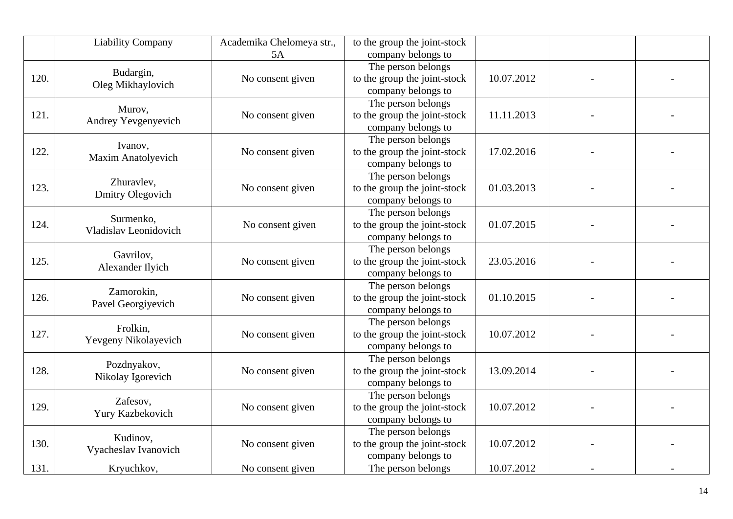|      | <b>Liability Company</b>              | Academika Chelomeya str.,<br>5A | to the group the joint-stock<br>company belongs to                       |            |  |
|------|---------------------------------------|---------------------------------|--------------------------------------------------------------------------|------------|--|
| 120. | Budargin,<br>Oleg Mikhaylovich        | No consent given                | The person belongs<br>to the group the joint-stock<br>company belongs to | 10.07.2012 |  |
| 121. | Murov,<br>Andrey Yevgenyevich         | No consent given                | The person belongs<br>to the group the joint-stock<br>company belongs to | 11.11.2013 |  |
| 122. | Ivanov,<br><b>Maxim Anatolyevich</b>  | No consent given                | The person belongs<br>to the group the joint-stock<br>company belongs to | 17.02.2016 |  |
| 123. | Zhuravlev,<br><b>Dmitry Olegovich</b> | No consent given                | The person belongs<br>to the group the joint-stock<br>company belongs to | 01.03.2013 |  |
| 124. | Surmenko,<br>Vladislav Leonidovich    | No consent given                | The person belongs<br>to the group the joint-stock<br>company belongs to | 01.07.2015 |  |
| 125. | Gavrilov,<br>Alexander Ilyich         | No consent given                | The person belongs<br>to the group the joint-stock<br>company belongs to | 23.05.2016 |  |
| 126. | Zamorokin,<br>Pavel Georgiyevich      | No consent given                | The person belongs<br>to the group the joint-stock<br>company belongs to | 01.10.2015 |  |
| 127. | Frolkin.<br>Yevgeny Nikolayevich      | No consent given                | The person belongs<br>to the group the joint-stock<br>company belongs to | 10.07.2012 |  |
| 128. | Pozdnyakov,<br>Nikolay Igorevich      | No consent given                | The person belongs<br>to the group the joint-stock<br>company belongs to | 13.09.2014 |  |
| 129. | Zafesov,<br>Yury Kazbekovich          | No consent given                | The person belongs<br>to the group the joint-stock<br>company belongs to | 10.07.2012 |  |
| 130. | Kudinov,<br>Vyacheslav Ivanovich      | No consent given                | The person belongs<br>to the group the joint-stock<br>company belongs to | 10.07.2012 |  |
| 131. | Kryuchkov,                            | No consent given                | The person belongs                                                       | 10.07.2012 |  |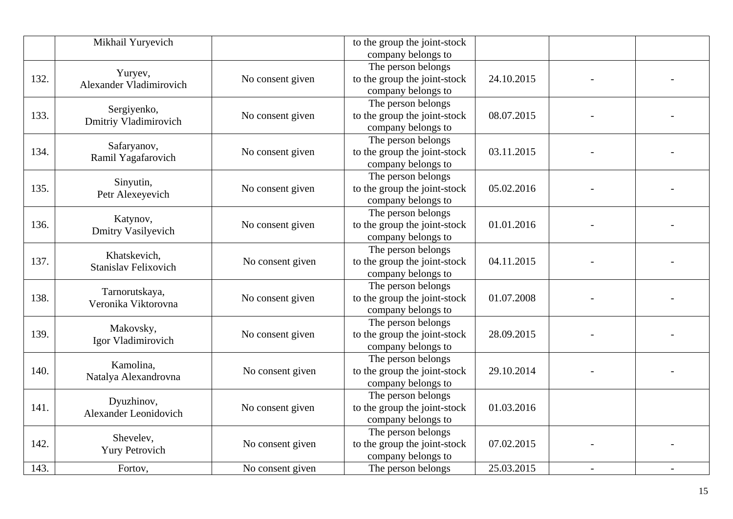|      | Mikhail Yuryevich                     |                  | to the group the joint-stock<br>company belongs to |            |  |
|------|---------------------------------------|------------------|----------------------------------------------------|------------|--|
|      |                                       |                  | The person belongs                                 |            |  |
| 132. | Yuryev,                               | No consent given | to the group the joint-stock                       | 24.10.2015 |  |
|      | Alexander Vladimirovich               |                  | company belongs to                                 |            |  |
|      |                                       |                  | The person belongs                                 |            |  |
| 133. | Sergiyenko,                           | No consent given | to the group the joint-stock                       | 08.07.2015 |  |
|      | Dmitriy Vladimirovich                 |                  | company belongs to                                 |            |  |
|      |                                       |                  | The person belongs                                 |            |  |
| 134. | Safaryanov,                           | No consent given | to the group the joint-stock                       | 03.11.2015 |  |
|      | Ramil Yagafarovich                    |                  | company belongs to                                 |            |  |
|      |                                       |                  | The person belongs                                 |            |  |
| 135. | Sinyutin,                             | No consent given | to the group the joint-stock                       | 05.02.2016 |  |
|      | Petr Alexeyevich                      |                  | company belongs to                                 |            |  |
|      |                                       |                  | The person belongs                                 |            |  |
| 136. | Katynov,                              | No consent given | to the group the joint-stock                       | 01.01.2016 |  |
|      | <b>Dmitry Vasilyevich</b>             |                  | company belongs to                                 |            |  |
|      |                                       |                  | The person belongs                                 |            |  |
| 137. | Khatskevich,                          | No consent given | to the group the joint-stock                       | 04.11.2015 |  |
|      | <b>Stanislav Felixovich</b>           |                  | company belongs to                                 |            |  |
|      |                                       |                  | The person belongs                                 |            |  |
| 138. | Tarnorutskaya,<br>Veronika Viktorovna | No consent given | to the group the joint-stock                       | 01.07.2008 |  |
|      |                                       |                  | company belongs to                                 |            |  |
|      | Makovsky,                             |                  | The person belongs                                 |            |  |
| 139. | Igor Vladimirovich                    | No consent given | to the group the joint-stock                       | 28.09.2015 |  |
|      |                                       |                  | company belongs to                                 |            |  |
|      | Kamolina,                             |                  | The person belongs                                 |            |  |
| 140. | Natalya Alexandrovna                  | No consent given | to the group the joint-stock                       | 29.10.2014 |  |
|      |                                       |                  | company belongs to                                 |            |  |
|      | Dyuzhinov,                            |                  | The person belongs                                 |            |  |
| 141. | Alexander Leonidovich                 | No consent given | to the group the joint-stock                       | 01.03.2016 |  |
|      |                                       |                  | company belongs to                                 |            |  |
|      | Shevelev,                             |                  | The person belongs                                 |            |  |
| 142. | <b>Yury Petrovich</b>                 | No consent given | to the group the joint-stock                       | 07.02.2015 |  |
|      |                                       |                  | company belongs to                                 |            |  |
| 143. | Fortov,                               | No consent given | The person belongs                                 | 25.03.2015 |  |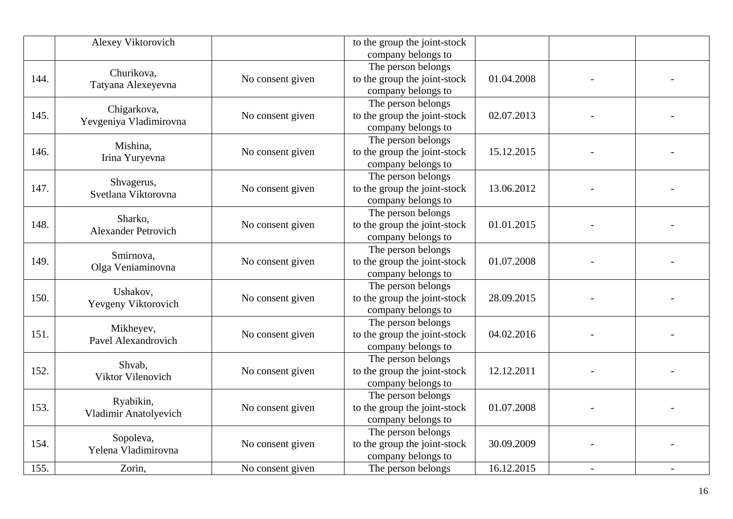|      | Alexey Viktorovich                    |                  | to the group the joint-stock<br>company belongs to                       |            |  |
|------|---------------------------------------|------------------|--------------------------------------------------------------------------|------------|--|
| 144. | Churikova,<br>Tatyana Alexeyevna      | No consent given | The person belongs<br>to the group the joint-stock<br>company belongs to | 01.04.2008 |  |
| 145. | Chigarkova,<br>Yevgeniya Vladimirovna | No consent given | The person belongs<br>to the group the joint-stock<br>company belongs to | 02.07.2013 |  |
| 146. | Mishina,<br>Irina Yuryevna            | No consent given | The person belongs<br>to the group the joint-stock<br>company belongs to | 15.12.2015 |  |
| 147. | Shvagerus,<br>Svetlana Viktorovna     | No consent given | The person belongs<br>to the group the joint-stock<br>company belongs to | 13.06.2012 |  |
| 148. | Sharko,<br><b>Alexander Petrovich</b> | No consent given | The person belongs<br>to the group the joint-stock<br>company belongs to | 01.01.2015 |  |
| 149. | Smirnova,<br>Olga Veniaminovna        | No consent given | The person belongs<br>to the group the joint-stock<br>company belongs to | 01.07.2008 |  |
| 150. | Ushakov,<br>Yevgeny Viktorovich       | No consent given | The person belongs<br>to the group the joint-stock<br>company belongs to | 28.09.2015 |  |
| 151. | Mikheyev,<br>Pavel Alexandrovich      | No consent given | The person belongs<br>to the group the joint-stock<br>company belongs to | 04.02.2016 |  |
| 152. | Shvab,<br>Viktor Vilenovich           | No consent given | The person belongs<br>to the group the joint-stock<br>company belongs to | 12.12.2011 |  |
| 153. | Ryabikin,<br>Vladimir Anatolyevich    | No consent given | The person belongs<br>to the group the joint-stock<br>company belongs to | 01.07.2008 |  |
| 154. | Sopoleva,<br>Yelena Vladimirovna      | No consent given | The person belongs<br>to the group the joint-stock<br>company belongs to | 30.09.2009 |  |
| 155. | Zorin,                                | No consent given | The person belongs                                                       | 16.12.2015 |  |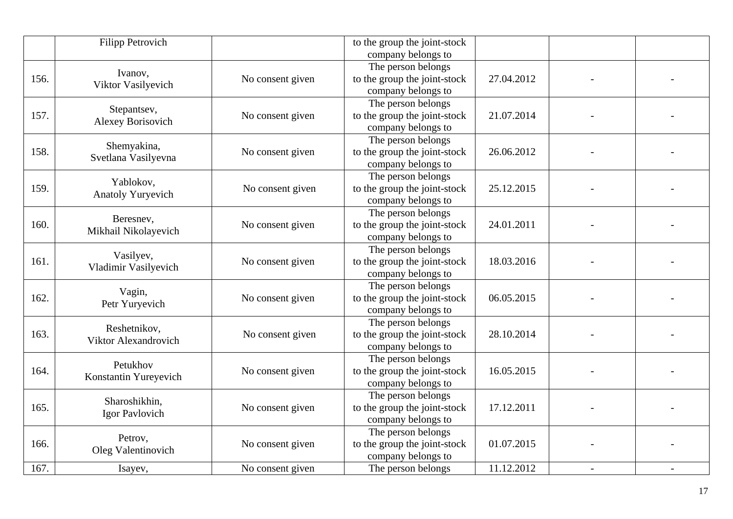|      | <b>Filipp Petrovich</b>  |                  | to the group the joint-stock<br>company belongs to |            |  |
|------|--------------------------|------------------|----------------------------------------------------|------------|--|
|      |                          |                  | The person belongs                                 |            |  |
| 156. | Ivanov,                  | No consent given | to the group the joint-stock                       | 27.04.2012 |  |
|      | Viktor Vasilyevich       |                  | company belongs to                                 |            |  |
|      |                          |                  | The person belongs                                 |            |  |
| 157. | Stepantsev,              | No consent given | to the group the joint-stock                       | 21.07.2014 |  |
|      | <b>Alexey Borisovich</b> |                  | company belongs to                                 |            |  |
|      |                          |                  | The person belongs                                 |            |  |
| 158. | Shemyakina,              | No consent given | to the group the joint-stock                       | 26.06.2012 |  |
|      | Svetlana Vasilyevna      |                  | company belongs to                                 |            |  |
|      |                          |                  | The person belongs                                 |            |  |
| 159. | Yablokov,                | No consent given | to the group the joint-stock                       | 25.12.2015 |  |
|      | Anatoly Yuryevich        |                  | company belongs to                                 |            |  |
|      |                          |                  | The person belongs                                 |            |  |
| 160. | Beresnev,                | No consent given | to the group the joint-stock                       | 24.01.2011 |  |
|      | Mikhail Nikolayevich     |                  | company belongs to                                 |            |  |
|      |                          |                  | The person belongs                                 |            |  |
| 161. | Vasilyev,                | No consent given | to the group the joint-stock                       | 18.03.2016 |  |
|      | Vladimir Vasilyevich     |                  | company belongs to                                 |            |  |
|      |                          |                  | The person belongs                                 |            |  |
| 162. | Vagin,<br>Petr Yuryevich | No consent given | to the group the joint-stock                       | 06.05.2015 |  |
|      |                          |                  | company belongs to                                 |            |  |
|      | Reshetnikov,             |                  | The person belongs                                 |            |  |
| 163. | Viktor Alexandrovich     | No consent given | to the group the joint-stock                       | 28.10.2014 |  |
|      |                          |                  | company belongs to                                 |            |  |
|      | Petukhov                 |                  | The person belongs                                 |            |  |
| 164. | Konstantin Yureyevich    | No consent given | to the group the joint-stock                       | 16.05.2015 |  |
|      |                          |                  | company belongs to                                 |            |  |
|      | Sharoshikhin,            |                  | The person belongs                                 |            |  |
| 165. | Igor Pavlovich           | No consent given | to the group the joint-stock                       | 17.12.2011 |  |
|      |                          |                  | company belongs to                                 |            |  |
|      | Petrov,                  |                  | The person belongs                                 |            |  |
| 166. | Oleg Valentinovich       | No consent given | to the group the joint-stock                       | 01.07.2015 |  |
|      |                          |                  | company belongs to                                 |            |  |
| 167. | Isayev,                  | No consent given | The person belongs                                 | 11.12.2012 |  |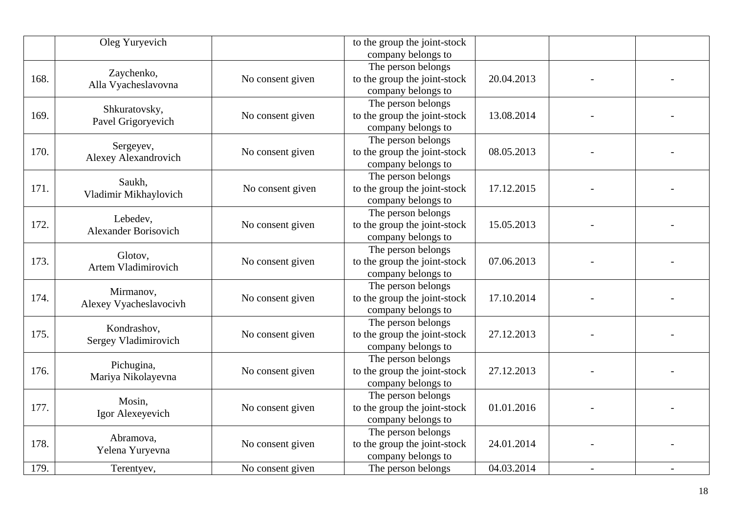|      | Oleg Yuryevich                 |                  | to the group the joint-stock<br>company belongs to |            |  |
|------|--------------------------------|------------------|----------------------------------------------------|------------|--|
|      |                                |                  | The person belongs                                 |            |  |
| 168. | Zaychenko,                     | No consent given | to the group the joint-stock                       | 20.04.2013 |  |
|      | Alla Vyacheslavovna            |                  | company belongs to                                 |            |  |
|      |                                |                  | The person belongs                                 |            |  |
| 169. | Shkuratovsky,                  | No consent given | to the group the joint-stock                       | 13.08.2014 |  |
|      | Pavel Grigoryevich             |                  | company belongs to                                 |            |  |
|      |                                |                  | The person belongs                                 |            |  |
| 170. | Sergeyev,                      | No consent given | to the group the joint-stock                       | 08.05.2013 |  |
|      | Alexey Alexandrovich           |                  | company belongs to                                 |            |  |
|      |                                |                  | The person belongs                                 |            |  |
| 171. | Saukh,                         | No consent given | to the group the joint-stock                       | 17.12.2015 |  |
|      | Vladimir Mikhaylovich          |                  | company belongs to                                 |            |  |
|      |                                |                  | The person belongs                                 |            |  |
| 172. | Lebedev,                       | No consent given | to the group the joint-stock                       | 15.05.2013 |  |
|      | <b>Alexander Borisovich</b>    |                  | company belongs to                                 |            |  |
|      |                                |                  | The person belongs                                 |            |  |
| 173. | Glotov,<br>Artem Vladimirovich | No consent given | to the group the joint-stock                       | 07.06.2013 |  |
|      |                                |                  | company belongs to                                 |            |  |
|      | Mirmanov,                      |                  | The person belongs                                 |            |  |
| 174. | Alexey Vyacheslavocivh         | No consent given | to the group the joint-stock                       | 17.10.2014 |  |
|      |                                |                  | company belongs to                                 |            |  |
|      | Kondrashov,                    |                  | The person belongs                                 |            |  |
| 175. | Sergey Vladimirovich           | No consent given | to the group the joint-stock                       | 27.12.2013 |  |
|      |                                |                  | company belongs to                                 |            |  |
|      | Pichugina,                     |                  | The person belongs                                 |            |  |
| 176. | Mariya Nikolayevna             | No consent given | to the group the joint-stock                       | 27.12.2013 |  |
|      |                                |                  | company belongs to                                 |            |  |
|      | Mosin,                         |                  | The person belongs                                 |            |  |
| 177. | Igor Alexeyevich               | No consent given | to the group the joint-stock                       | 01.01.2016 |  |
|      |                                |                  | company belongs to                                 |            |  |
|      | Abramova,                      |                  | The person belongs                                 |            |  |
| 178. | Yelena Yuryevna                | No consent given | to the group the joint-stock                       | 24.01.2014 |  |
|      |                                |                  | company belongs to                                 |            |  |
| 179. | Terentyev,                     | No consent given | The person belongs                                 | 04.03.2014 |  |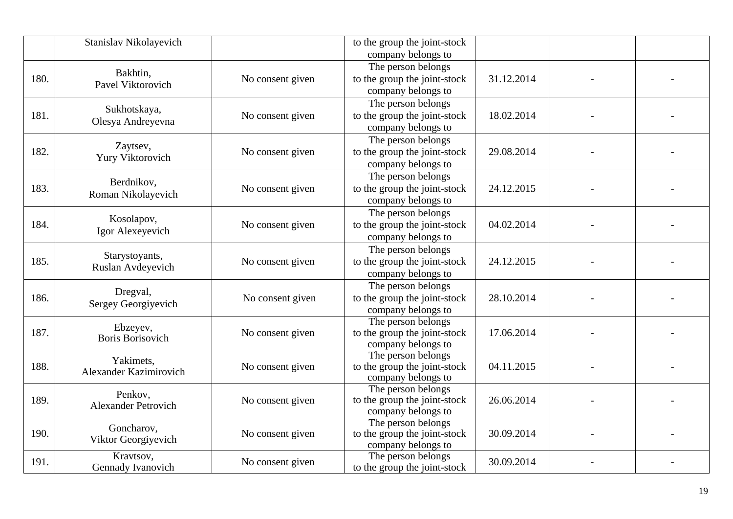|      | Stanislav Nikolayevich              |                  | to the group the joint-stock                       |            |  |
|------|-------------------------------------|------------------|----------------------------------------------------|------------|--|
|      |                                     |                  | company belongs to                                 |            |  |
|      | Bakhtin,                            |                  | The person belongs                                 |            |  |
| 180. | Pavel Viktorovich                   | No consent given | to the group the joint-stock                       | 31.12.2014 |  |
|      |                                     |                  | company belongs to                                 |            |  |
|      | Sukhotskaya,                        |                  | The person belongs                                 |            |  |
| 181. | Olesya Andreyevna                   | No consent given | to the group the joint-stock                       | 18.02.2014 |  |
|      |                                     |                  | company belongs to                                 |            |  |
|      |                                     |                  | The person belongs                                 |            |  |
| 182. | Zaytsev,                            | No consent given | to the group the joint-stock                       | 29.08.2014 |  |
|      | Yury Viktorovich                    |                  | company belongs to                                 |            |  |
|      |                                     |                  | The person belongs                                 |            |  |
| 183. | Berdnikov,                          | No consent given | to the group the joint-stock                       | 24.12.2015 |  |
|      | Roman Nikolayevich                  |                  | company belongs to                                 |            |  |
|      |                                     |                  | The person belongs                                 |            |  |
| 184. | Kosolapov,                          | No consent given | to the group the joint-stock                       | 04.02.2014 |  |
|      | Igor Alexeyevich                    |                  | company belongs to                                 |            |  |
|      |                                     |                  | The person belongs                                 |            |  |
| 185. | Starystoyants,                      | No consent given | to the group the joint-stock                       | 24.12.2015 |  |
|      | Ruslan Avdeyevich                   |                  | company belongs to                                 |            |  |
|      |                                     |                  | The person belongs                                 |            |  |
| 186. | Dregval,                            | No consent given | to the group the joint-stock                       | 28.10.2014 |  |
|      | Sergey Georgiyevich                 |                  | company belongs to                                 |            |  |
|      |                                     |                  | The person belongs                                 |            |  |
| 187. | Ebzeyev,<br><b>Boris Borisovich</b> | No consent given | to the group the joint-stock                       | 17.06.2014 |  |
|      |                                     |                  | company belongs to                                 |            |  |
|      | Yakimets,                           |                  | The person belongs                                 |            |  |
| 188. | Alexander Kazimirovich              | No consent given | to the group the joint-stock                       | 04.11.2015 |  |
|      |                                     |                  | company belongs to                                 |            |  |
|      | Penkov,                             |                  | The person belongs                                 |            |  |
| 189. | <b>Alexander Petrovich</b>          | No consent given | to the group the joint-stock                       | 26.06.2014 |  |
|      |                                     |                  | company belongs to                                 |            |  |
|      | Goncharov,                          |                  | The person belongs                                 |            |  |
| 190. | Viktor Georgiyevich                 | No consent given | to the group the joint-stock<br>company belongs to | 30.09.2014 |  |
|      | Kravtsov,                           |                  | The person belongs                                 |            |  |
| 191. | Gennady Ivanovich                   | No consent given | to the group the joint-stock                       | 30.09.2014 |  |
|      |                                     |                  |                                                    |            |  |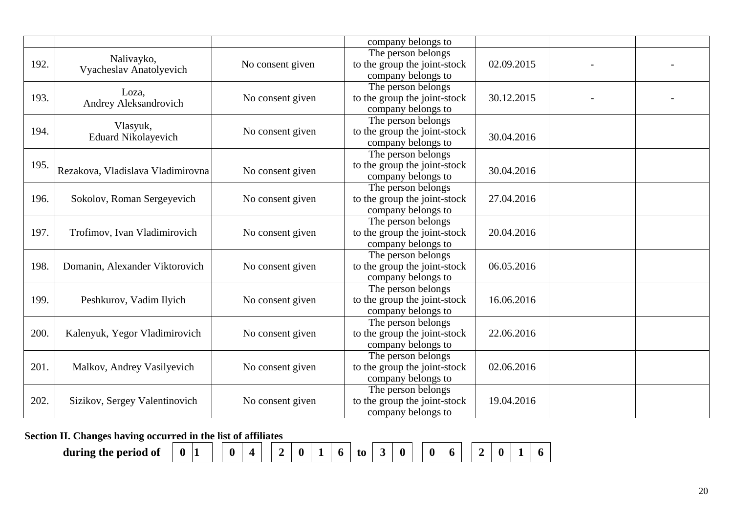|      |                                   |                               | company belongs to           |                              |            |  |
|------|-----------------------------------|-------------------------------|------------------------------|------------------------------|------------|--|
|      | Nalivayko,                        |                               | The person belongs           |                              |            |  |
| 192. | Vyacheslav Anatolyevich           | No consent given              | to the group the joint-stock | 02.09.2015                   |            |  |
|      |                                   |                               | company belongs to           |                              |            |  |
|      | Loza,                             |                               | The person belongs           |                              |            |  |
| 193. | Andrey Aleksandrovich             | No consent given              | to the group the joint-stock | 30.12.2015                   |            |  |
|      |                                   |                               | company belongs to           |                              |            |  |
|      | Vlasyuk,                          |                               | The person belongs           |                              |            |  |
| 194. | <b>Eduard Nikolayevich</b>        | No consent given              | to the group the joint-stock | 30.04.2016                   |            |  |
|      |                                   |                               | company belongs to           |                              |            |  |
|      |                                   |                               | The person belongs           |                              |            |  |
| 195. | Rezakova, Vladislava Vladimirovna | No consent given              | to the group the joint-stock | 30.04.2016                   |            |  |
|      |                                   |                               | company belongs to           |                              |            |  |
|      |                                   |                               | The person belongs           |                              |            |  |
| 196. | Sokolov, Roman Sergeyevich        | No consent given              | to the group the joint-stock | 27.04.2016                   |            |  |
|      |                                   |                               | company belongs to           |                              |            |  |
|      |                                   |                               | The person belongs           |                              |            |  |
| 197. | Trofimov, Ivan Vladimirovich      | No consent given              | to the group the joint-stock | 20.04.2016                   |            |  |
|      |                                   |                               | company belongs to           |                              |            |  |
|      |                                   |                               | The person belongs           |                              |            |  |
| 198. | Domanin, Alexander Viktorovich    | No consent given              | to the group the joint-stock | 06.05.2016                   |            |  |
|      |                                   |                               | company belongs to           |                              |            |  |
|      |                                   |                               | The person belongs           |                              |            |  |
| 199. | Peshkurov, Vadim Ilyich           | No consent given              | to the group the joint-stock | 16.06.2016                   |            |  |
|      |                                   |                               | company belongs to           |                              |            |  |
|      |                                   |                               | The person belongs           |                              |            |  |
| 200. | Kalenyuk, Yegor Vladimirovich     | No consent given              | to the group the joint-stock | 22.06.2016                   |            |  |
|      |                                   |                               | company belongs to           |                              |            |  |
|      |                                   |                               | The person belongs           |                              |            |  |
| 201. | Malkov, Andrey Vasilyevich        | No consent given              | to the group the joint-stock | 02.06.2016                   |            |  |
|      |                                   |                               | company belongs to           |                              |            |  |
|      |                                   |                               | The person belongs           |                              |            |  |
| 202. |                                   | Sizikov, Sergey Valentinovich | No consent given             | to the group the joint-stock | 19.04.2016 |  |
|      |                                   |                               | company belongs to           |                              |            |  |

**Section II. Changes having occurred in the list of affiliates** 

**during the period of 0 1 0 4 2 0 1 6 to 3 0 0 6 2 0 1 6**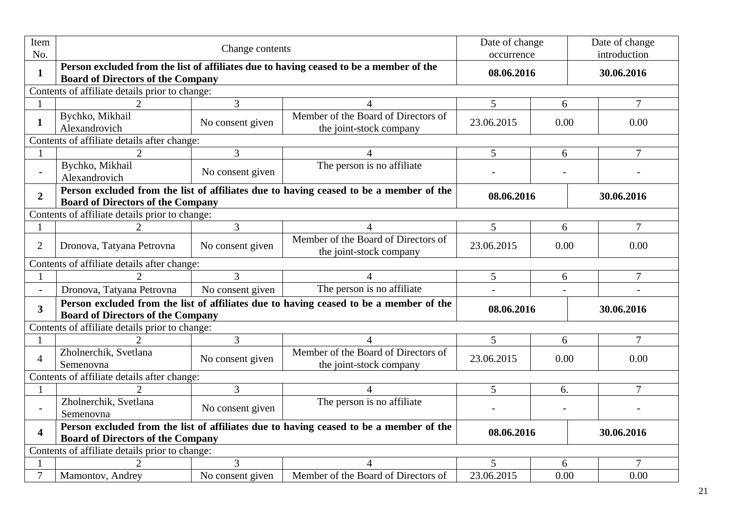| Item<br>No.             |                                                                                                                                    | Change contents  |                                                                                        |                          |                          | Date of change<br>introduction |  |  |
|-------------------------|------------------------------------------------------------------------------------------------------------------------------------|------------------|----------------------------------------------------------------------------------------|--------------------------|--------------------------|--------------------------------|--|--|
| $\mathbf{1}$            | <b>Board of Directors of the Company</b>                                                                                           |                  | Person excluded from the list of affiliates due to having ceased to be a member of the | occurrence<br>08.06.2016 |                          | 30.06.2016                     |  |  |
|                         | Contents of affiliate details prior to change:                                                                                     |                  |                                                                                        |                          |                          |                                |  |  |
|                         |                                                                                                                                    | 3                | $\boldsymbol{\varDelta}$                                                               | 5                        | 6                        | $\overline{7}$                 |  |  |
| $\mathbf{1}$            | Bychko, Mikhail<br>Alexandrovich                                                                                                   | No consent given | Member of the Board of Directors of<br>the joint-stock company                         | 23.06.2015               | 0.00                     | 0.00                           |  |  |
|                         | Contents of affiliate details after change:                                                                                        |                  |                                                                                        |                          |                          |                                |  |  |
|                         | $\overline{2}$                                                                                                                     | 3                | $\overline{4}$                                                                         | 5                        | 6                        | $\overline{7}$                 |  |  |
|                         | Bychko, Mikhail<br>Alexandrovich                                                                                                   | No consent given | The person is no affiliate                                                             |                          |                          |                                |  |  |
| $\overline{2}$          | Person excluded from the list of affiliates due to having ceased to be a member of the<br><b>Board of Directors of the Company</b> |                  | 08.06.2016                                                                             |                          | 30.06.2016               |                                |  |  |
|                         | Contents of affiliate details prior to change:                                                                                     |                  |                                                                                        |                          |                          |                                |  |  |
|                         |                                                                                                                                    | 3                | $\overline{4}$                                                                         | 5                        | 6                        | $\tau$                         |  |  |
| $\overline{2}$          | Dronova, Tatyana Petrovna                                                                                                          | No consent given | Member of the Board of Directors of<br>the joint-stock company                         | 23.06.2015               | 0.00<br>0.00             |                                |  |  |
|                         | Contents of affiliate details after change:                                                                                        |                  |                                                                                        |                          |                          |                                |  |  |
|                         |                                                                                                                                    | 3                |                                                                                        | 5                        | $\tau$<br>6              |                                |  |  |
| $\blacksquare$          | Dronova, Tatyana Petrovna                                                                                                          | No consent given | The person is no affiliate                                                             |                          |                          |                                |  |  |
| 3 <sup>1</sup>          | <b>Board of Directors of the Company</b>                                                                                           |                  | Person excluded from the list of affiliates due to having ceased to be a member of the | 08.06.2016               |                          | 30.06.2016                     |  |  |
|                         | Contents of affiliate details prior to change:                                                                                     |                  |                                                                                        |                          |                          |                                |  |  |
|                         |                                                                                                                                    | 3                | $\Delta$                                                                               | 5                        | 6                        | $\overline{7}$                 |  |  |
| $\overline{4}$          | Zholnerchik, Svetlana<br>Semenovna                                                                                                 | No consent given | Member of the Board of Directors of<br>the joint-stock company                         | 23.06.2015               | 0.00                     | 0.00                           |  |  |
|                         | Contents of affiliate details after change:                                                                                        |                  |                                                                                        |                          |                          |                                |  |  |
|                         |                                                                                                                                    | 3                | $\boldsymbol{\vartriangle}$                                                            | 5                        | 6.                       | $\overline{7}$                 |  |  |
|                         | Zholnerchik, Svetlana<br>Semenovna                                                                                                 | No consent given | The person is no affiliate                                                             |                          |                          |                                |  |  |
| $\overline{\mathbf{4}}$ | <b>Board of Directors of the Company</b>                                                                                           |                  | Person excluded from the list of affiliates due to having ceased to be a member of the |                          | 08.06.2016<br>30.06.2016 |                                |  |  |
|                         | Contents of affiliate details prior to change:                                                                                     |                  |                                                                                        |                          |                          |                                |  |  |
|                         |                                                                                                                                    | 3                | 4                                                                                      | 5                        | 6                        | 7                              |  |  |
| $\tau$                  | Mamontov, Andrey                                                                                                                   | No consent given | Member of the Board of Directors of                                                    | 23.06.2015               | 0.00                     | 0.00                           |  |  |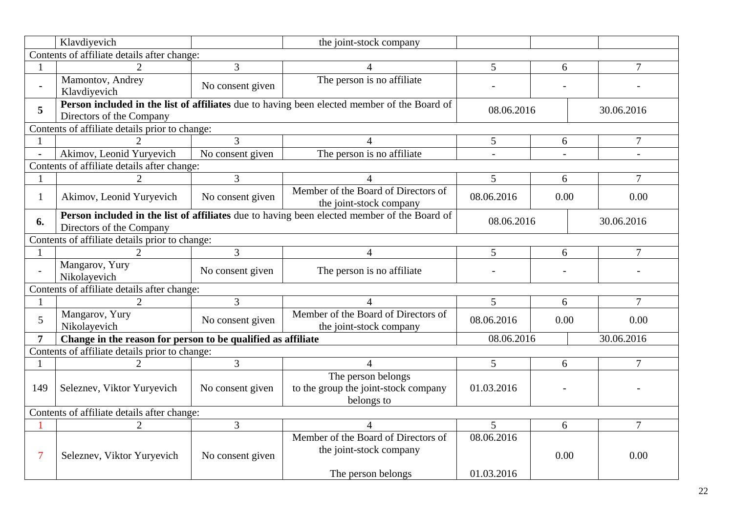|                | Klavdiyevich                                                 |                  | the joint-stock company                                                                     |                          |      |                |  |  |
|----------------|--------------------------------------------------------------|------------------|---------------------------------------------------------------------------------------------|--------------------------|------|----------------|--|--|
|                | Contents of affiliate details after change:                  |                  |                                                                                             |                          |      |                |  |  |
|                |                                                              | 3                |                                                                                             | $\overline{5}$           | 6    | $\overline{7}$ |  |  |
|                | Mamontov, Andrey<br>Klavdiyevich                             | No consent given | The person is no affiliate                                                                  |                          |      |                |  |  |
| 5              | Directors of the Company                                     |                  | Person included in the list of affiliates due to having been elected member of the Board of | 08.06.2016               |      | 30.06.2016     |  |  |
|                | Contents of affiliate details prior to change:               |                  |                                                                                             |                          |      |                |  |  |
|                |                                                              | 3                | 4                                                                                           | 5                        | 6    | 7              |  |  |
| $\blacksquare$ | Akimov, Leonid Yuryevich                                     | No consent given | The person is no affiliate                                                                  |                          |      |                |  |  |
|                | Contents of affiliate details after change:                  |                  |                                                                                             |                          |      |                |  |  |
| 1              |                                                              | 3                |                                                                                             | 5                        | 6    | $\overline{7}$ |  |  |
| $\mathbf{1}$   | Akimov, Leonid Yuryevich                                     | No consent given | Member of the Board of Directors of<br>the joint-stock company                              | 08.06.2016               | 0.00 | 0.00           |  |  |
| 6.             | Directors of the Company                                     |                  | Person included in the list of affiliates due to having been elected member of the Board of | 08.06.2016               |      | 30.06.2016     |  |  |
|                | Contents of affiliate details prior to change:               |                  |                                                                                             |                          |      |                |  |  |
|                |                                                              | 3                | $\overline{4}$                                                                              | 5                        | 6    | $\overline{7}$ |  |  |
|                | Mangarov, Yury<br>Nikolayevich                               | No consent given | The person is no affiliate                                                                  |                          |      |                |  |  |
|                | Contents of affiliate details after change:                  |                  |                                                                                             |                          |      |                |  |  |
| $\mathbf{1}$   | $\mathcal{D}$                                                | 3                | $\Delta$                                                                                    | 5                        | 6    | $\overline{7}$ |  |  |
| 5              | Mangarov, Yury<br>Nikolayevich                               | No consent given | Member of the Board of Directors of<br>the joint-stock company                              | 08.06.2016               | 0.00 | 0.00           |  |  |
| $\overline{7}$ | Change in the reason for person to be qualified as affiliate |                  |                                                                                             | 08.06.2016               |      | 30.06.2016     |  |  |
|                | Contents of affiliate details prior to change:               |                  |                                                                                             |                          |      |                |  |  |
|                | $\mathcal{D}_{\mathcal{L}}$                                  | 3                | 4                                                                                           | 5                        | 6    | $\overline{7}$ |  |  |
| 149            | Seleznev, Viktor Yuryevich                                   | No consent given | The person belongs<br>to the group the joint-stock company<br>belongs to                    | 01.03.2016               |      |                |  |  |
|                | Contents of affiliate details after change:                  |                  |                                                                                             |                          |      |                |  |  |
|                | $\overline{2}$                                               | 3                | 4                                                                                           | 5                        | 6    | $\overline{7}$ |  |  |
| 7              | Seleznev, Viktor Yuryevich                                   | No consent given | Member of the Board of Directors of<br>the joint-stock company<br>The person belongs        | 08.06.2016<br>01.03.2016 | 0.00 | 0.00           |  |  |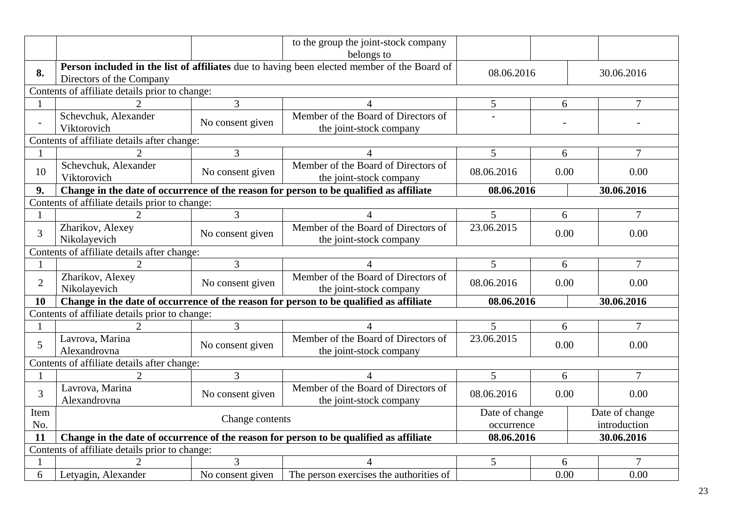|                                             |                                                |                  | to the group the joint-stock company                                                        |                |      |                |
|---------------------------------------------|------------------------------------------------|------------------|---------------------------------------------------------------------------------------------|----------------|------|----------------|
|                                             |                                                |                  | belongs to                                                                                  |                |      |                |
| 8.                                          | Directors of the Company                       |                  | Person included in the list of affiliates due to having been elected member of the Board of | 08.06.2016     |      | 30.06.2016     |
|                                             | Contents of affiliate details prior to change: |                  |                                                                                             |                |      |                |
|                                             |                                                | $\overline{3}$   | 4                                                                                           | 5              | 6    | $\overline{7}$ |
|                                             | Schevchuk, Alexander<br>Viktorovich            | No consent given | Member of the Board of Directors of<br>the joint-stock company                              |                |      |                |
|                                             | Contents of affiliate details after change:    |                  |                                                                                             |                |      |                |
|                                             | $\overline{2}$                                 | 3                | $\overline{4}$                                                                              | 5              | 6    | $\overline{7}$ |
| 10                                          | Schevchuk, Alexander<br>Viktorovich            | No consent given | Member of the Board of Directors of<br>the joint-stock company                              | 08.06.2016     | 0.00 | 0.00           |
| 9.                                          |                                                |                  | Change in the date of occurrence of the reason for person to be qualified as affiliate      | 08.06.2016     |      | 30.06.2016     |
|                                             | Contents of affiliate details prior to change: |                  |                                                                                             |                |      |                |
|                                             |                                                | 3                |                                                                                             | 5              | 6    | 7              |
| $\overline{3}$                              | Zharikov, Alexey<br>Nikolayevich               | No consent given | Member of the Board of Directors of<br>the joint-stock company                              | 23.06.2015     | 0.00 | 0.00           |
| Contents of affiliate details after change: |                                                |                  |                                                                                             |                |      |                |
|                                             | 2                                              | 3                | 4                                                                                           | 5              | 6    | 7              |
|                                             |                                                |                  | Member of the Board of Directors of                                                         |                |      |                |
| $\overline{2}$                              | Zharikov, Alexey<br>Nikolayevich               | No consent given | the joint-stock company                                                                     | 08.06.2016     | 0.00 | 0.00           |
| 10                                          |                                                |                  | Change in the date of occurrence of the reason for person to be qualified as affiliate      | 08.06.2016     |      | 30.06.2016     |
|                                             | Contents of affiliate details prior to change: |                  |                                                                                             |                |      |                |
|                                             | $\mathcal{D}$                                  | $\overline{3}$   | $\boldsymbol{\Lambda}$                                                                      | 5              | 6    | $\overline{7}$ |
| 5                                           | Lavrova, Marina<br>Alexandrovna                | No consent given | Member of the Board of Directors of<br>the joint-stock company                              | 23.06.2015     | 0.00 | 0.00           |
|                                             | Contents of affiliate details after change:    |                  |                                                                                             |                |      |                |
|                                             |                                                | 3                | $\overline{4}$                                                                              | 5              | 6    | $\overline{7}$ |
| $\overline{3}$                              | Lavrova, Marina<br>Alexandrovna                | No consent given | Member of the Board of Directors of                                                         | 08.06.2016     | 0.00 | 0.00           |
| Item                                        |                                                |                  | the joint-stock company                                                                     | Date of change |      | Date of change |
| No.                                         |                                                | Change contents  |                                                                                             | occurrence     |      | introduction   |
| 11                                          |                                                |                  | Change in the date of occurrence of the reason for person to be qualified as affiliate      | 08.06.2016     |      | 30.06.2016     |
|                                             | Contents of affiliate details prior to change: |                  |                                                                                             |                |      |                |
|                                             |                                                | 3                |                                                                                             | 5              | 6    |                |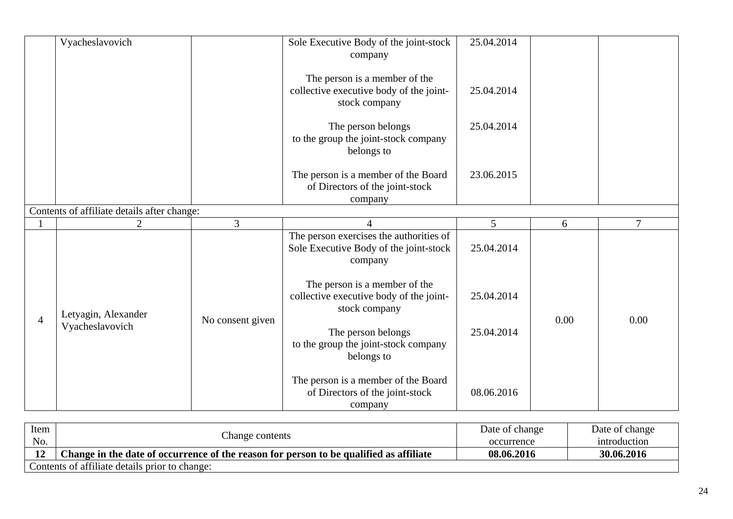|                | Vyacheslavovich                             |                  | Sole Executive Body of the joint-stock<br>company                                            | 25.04.2014 |      |        |
|----------------|---------------------------------------------|------------------|----------------------------------------------------------------------------------------------|------------|------|--------|
|                |                                             |                  | The person is a member of the<br>collective executive body of the joint-<br>stock company    | 25.04.2014 |      |        |
|                |                                             |                  | The person belongs<br>to the group the joint-stock company<br>belongs to                     | 25.04.2014 |      |        |
|                |                                             |                  | The person is a member of the Board<br>of Directors of the joint-stock<br>company            | 23.06.2015 |      |        |
|                | Contents of affiliate details after change: |                  |                                                                                              |            |      |        |
|                | $\overline{2}$                              | 3                | 4                                                                                            | 5          | 6    | $\tau$ |
|                |                                             |                  | The person exercises the authorities of<br>Sole Executive Body of the joint-stock<br>company | 25.04.2014 |      |        |
| $\overline{4}$ | Letyagin, Alexander                         | No consent given | The person is a member of the<br>collective executive body of the joint-<br>stock company    | 25.04.2014 | 0.00 | 0.00   |
|                | Vyacheslavovich                             |                  | The person belongs<br>to the group the joint-stock company<br>belongs to                     | 25.04.2014 |      |        |
|                |                                             |                  | The person is a member of the Board<br>of Directors of the joint-stock<br>company            | 08.06.2016 |      |        |

| Item | Change contents                                                                        | Date of change | Date of change |
|------|----------------------------------------------------------------------------------------|----------------|----------------|
| No.  |                                                                                        | occurrence     | introduction   |
|      | Change in the date of occurrence of the reason for person to be qualified as affiliate | 08.06.2016     | 30.06.2016     |
|      | Contents of affiliate details prior to change:                                         |                |                |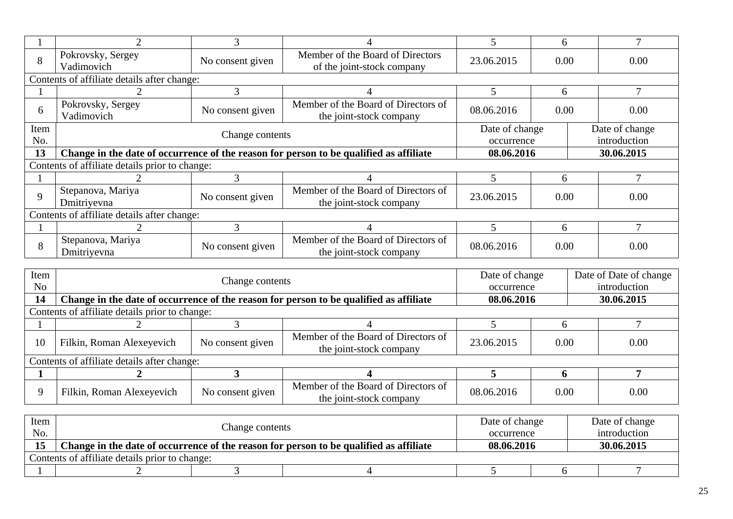|             |                                                | 3                                                                                      |                                                                | 5                            | 6    |            |                                |
|-------------|------------------------------------------------|----------------------------------------------------------------------------------------|----------------------------------------------------------------|------------------------------|------|------------|--------------------------------|
| 8           | Pokrovsky, Sergey<br>Vadimovich                | No consent given                                                                       | Member of the Board of Directors<br>of the joint-stock company | 23.06.2015                   | 0.00 |            | 0.00                           |
|             | Contents of affiliate details after change:    |                                                                                        |                                                                |                              |      |            |                                |
|             |                                                | 3                                                                                      |                                                                | 5                            | 6    |            | 7                              |
| 6           | Pokrovsky, Sergey<br>Vadimovich                | Member of the Board of Directors of<br>No consent given<br>the joint-stock company     |                                                                |                              |      |            | 0.00                           |
| Item<br>No. |                                                | Change contents                                                                        |                                                                | Date of change<br>occurrence |      |            | Date of change<br>introduction |
| 13          |                                                | Change in the date of occurrence of the reason for person to be qualified as affiliate | 08.06.2016                                                     |                              |      | 30.06.2015 |                                |
|             | Contents of affiliate details prior to change: |                                                                                        |                                                                |                              |      |            |                                |
|             |                                                | 3                                                                                      |                                                                | 5                            | 6    |            |                                |
| 9           | Stepanova, Mariya<br>Dmitriyevna               | No consent given                                                                       | Member of the Board of Directors of<br>the joint-stock company | 23.06.2015                   | 0.00 |            | 0.00                           |
|             | Contents of affiliate details after change:    |                                                                                        |                                                                |                              |      |            |                                |
|             |                                                | 3                                                                                      |                                                                |                              | 6    |            |                                |
| 8           | Stepanova, Mariya                              | No consent given                                                                       | Member of the Board of Directors of<br>the joint-stock company | 08.06.2016                   | 0.00 |            | 0.00                           |

| Item<br>N <sub>o</sub> |                                                | Change contents  |                                                                                        | Date of change<br>occurrence |      | Date of Date of change<br>introduction |
|------------------------|------------------------------------------------|------------------|----------------------------------------------------------------------------------------|------------------------------|------|----------------------------------------|
| 14                     |                                                |                  | Change in the date of occurrence of the reason for person to be qualified as affiliate | 08.06.2016                   |      | 30.06.2015                             |
|                        | Contents of affiliate details prior to change: |                  |                                                                                        |                              |      |                                        |
|                        |                                                |                  |                                                                                        |                              |      |                                        |
| 10                     | Filkin, Roman Alexeyevich                      | No consent given | Member of the Board of Directors of<br>the joint-stock company                         | 23.06.2015                   | 0.00 | 0.00                                   |
|                        | Contents of affiliate details after change:    |                  |                                                                                        |                              |      |                                        |
|                        |                                                |                  |                                                                                        |                              |      |                                        |
| Q                      | Filkin, Roman Alexeyevich                      | No consent given | Member of the Board of Directors of<br>the joint-stock company                         | 08.06.2016                   | 0.00 | 0.00                                   |

| Item<br>No. |                                                | Change contents |                                                                                        | Date of change<br>occurrence |  | Date of change<br>introduction |  |
|-------------|------------------------------------------------|-----------------|----------------------------------------------------------------------------------------|------------------------------|--|--------------------------------|--|
| 15          |                                                |                 | Change in the date of occurrence of the reason for person to be qualified as affiliate | 08.06.2016                   |  | 30.06.2015                     |  |
|             | Contents of affiliate details prior to change: |                 |                                                                                        |                              |  |                                |  |
|             |                                                |                 |                                                                                        |                              |  |                                |  |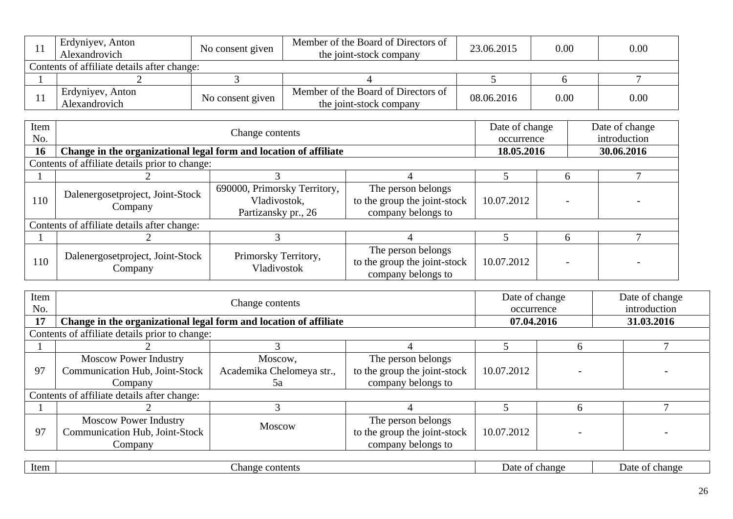| Erdyniyev, Anton<br>Alexandrovich           | No consent given | Member of the Board of Directors of<br>the joint-stock company | 23.06.2015 | 0.00 | 0.00 |
|---------------------------------------------|------------------|----------------------------------------------------------------|------------|------|------|
| Contents of affiliate details after change: |                  |                                                                |            |      |      |
|                                             |                  |                                                                |            |      |      |
| Erdyniyev, Anton<br>Alexandrovich           | No consent given | Member of the Board of Directors of<br>the joint-stock company | 08.06.2016 | 0.00 | 0.00 |

| Item<br>No. |                                                                   | Change contents                                                     |                                                                          | Date of change<br>occurrence | Date of change<br>introduction |
|-------------|-------------------------------------------------------------------|---------------------------------------------------------------------|--------------------------------------------------------------------------|------------------------------|--------------------------------|
| 16          | Change in the organizational legal form and location of affiliate |                                                                     |                                                                          | 18.05.2016                   | 30.06.2016                     |
|             | Contents of affiliate details prior to change:                    |                                                                     |                                                                          |                              |                                |
|             |                                                                   |                                                                     |                                                                          |                              |                                |
| 110         | Dalenergosetproject, Joint-Stock<br>Company                       | 690000, Primorsky Territory,<br>Vladivostok,<br>Partizansky pr., 26 | The person belongs<br>to the group the joint-stock<br>company belongs to | 10.07.2012                   |                                |
|             | Contents of affiliate details after change:                       |                                                                     |                                                                          |                              |                                |
|             |                                                                   |                                                                     |                                                                          |                              |                                |
| 110         | Dalenergosetproject, Joint-Stock<br>Company                       | Primorsky Territory,<br>Vladivostok                                 | The person belongs<br>to the group the joint-stock<br>company belongs to | 10.07.2012                   |                                |

| Item<br>No. |                                                                           | Change contents                      |                                                                          | Date of change<br>occurrence |   | Date of change<br>introduction |
|-------------|---------------------------------------------------------------------------|--------------------------------------|--------------------------------------------------------------------------|------------------------------|---|--------------------------------|
| 17          | Change in the organizational legal form and location of affiliate         |                                      |                                                                          | 07.04.2016                   |   | 31.03.2016                     |
|             | Contents of affiliate details prior to change:                            |                                      |                                                                          |                              |   |                                |
|             |                                                                           |                                      |                                                                          |                              | n |                                |
| 97          | <b>Moscow Power Industry</b><br>Communication Hub, Joint-Stock            | Moscow,<br>Academika Chelomeya str., | The person belongs<br>to the group the joint-stock                       | 10.07.2012                   |   |                                |
|             | Company                                                                   | 5a                                   | company belongs to                                                       |                              |   |                                |
|             | Contents of affiliate details after change:                               |                                      |                                                                          |                              |   |                                |
|             |                                                                           |                                      |                                                                          |                              |   |                                |
| 97          | <b>Moscow Power Industry</b><br>Communication Hub, Joint-Stock<br>Company | <b>Moscow</b>                        | The person belongs<br>to the group the joint-stock<br>company belongs to | 10.07.2012                   |   |                                |

| Item<br>contents<br>change<br>Date<br>change<br>Date<br>_nange<br>$\mathbf{v}$ |
|--------------------------------------------------------------------------------|
|--------------------------------------------------------------------------------|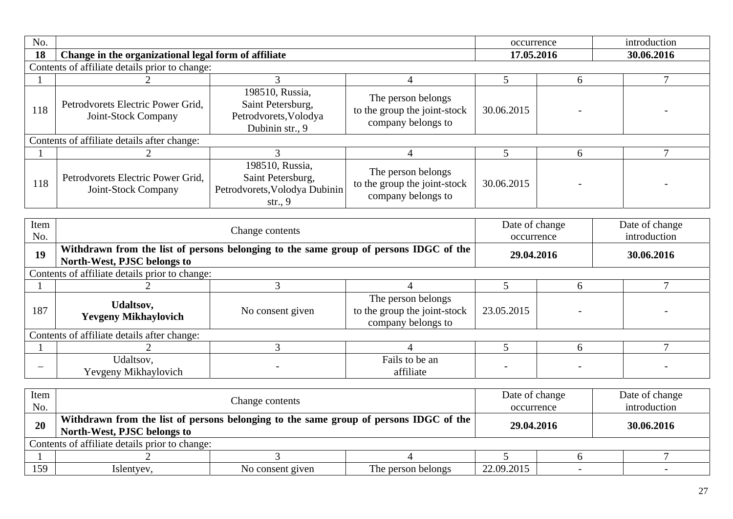| No.                      |                                                                                                                                                                        |                                                                                    |                                                                          | occurrence                   |   | introduction                   |
|--------------------------|------------------------------------------------------------------------------------------------------------------------------------------------------------------------|------------------------------------------------------------------------------------|--------------------------------------------------------------------------|------------------------------|---|--------------------------------|
| 18                       | Change in the organizational legal form of affiliate                                                                                                                   |                                                                                    |                                                                          | 17.05.2016                   |   | 30.06.2016                     |
|                          | Contents of affiliate details prior to change:                                                                                                                         |                                                                                    |                                                                          |                              |   |                                |
|                          |                                                                                                                                                                        | 3                                                                                  | $\overline{4}$                                                           | 5                            | 6 | $\overline{7}$                 |
| 118                      | Petrodvorets Electric Power Grid,<br>Joint-Stock Company                                                                                                               | 198510, Russia,<br>Saint Petersburg,<br>Petrodvorets, Volodya<br>Dubinin str., 9   | The person belongs<br>to the group the joint-stock<br>company belongs to | 30.06.2015                   |   |                                |
|                          | Contents of affiliate details after change:                                                                                                                            |                                                                                    |                                                                          |                              |   |                                |
|                          | $\overline{2}$                                                                                                                                                         | 3                                                                                  | 4                                                                        | 5                            | 6 | $\overline{7}$                 |
| 118                      | Petrodyorets Electric Power Grid.<br>Joint-Stock Company                                                                                                               | 198510, Russia,<br>Saint Petersburg,<br>Petrodvorets, Volodya Dubinin<br>str., $9$ | The person belongs<br>to the group the joint-stock<br>company belongs to | 30.06.2015                   |   |                                |
|                          |                                                                                                                                                                        |                                                                                    |                                                                          |                              |   |                                |
| Item<br>No.              |                                                                                                                                                                        | Change contents                                                                    |                                                                          | Date of change<br>occurrence |   | Date of change<br>introduction |
| 19                       | Withdrawn from the list of persons belonging to the same group of persons IDGC of the<br>North-West, PJSC belongs to                                                   |                                                                                    |                                                                          | 29.04.2016                   |   | 30.06.2016                     |
|                          | Contents of affiliate details prior to change:                                                                                                                         |                                                                                    |                                                                          |                              |   |                                |
|                          | $\mathcal{D}_{\mathcal{L}}$                                                                                                                                            | $\overline{3}$                                                                     | $\overline{4}$                                                           | 5                            | 6 | $\overline{7}$                 |
| 187                      | <b>Udaltsov,</b><br><b>Yevgeny Mikhaylovich</b>                                                                                                                        | No consent given                                                                   | The person belongs<br>to the group the joint-stock<br>company belongs to | 23.05.2015                   |   |                                |
|                          | Contents of affiliate details after change:                                                                                                                            |                                                                                    |                                                                          |                              |   |                                |
|                          |                                                                                                                                                                        | 3                                                                                  | 4                                                                        | 5                            | 6 | $\tau$                         |
| $\overline{\phantom{0}}$ | Udaltsov,<br>Yevgeny Mikhaylovich                                                                                                                                      |                                                                                    | Fails to be an<br>affiliate                                              |                              |   |                                |
| Item<br>No.              |                                                                                                                                                                        | Change contents                                                                    |                                                                          | Date of change<br>occurrence |   | Date of change<br>introduction |
| 20                       | Withdrawn from the list of persons belonging to the same group of persons IDGC of the<br>North-West, PJSC belongs to<br>Contents of affiliate details prior to change: |                                                                                    |                                                                          | 29.04.2016                   |   | 30.06.2016                     |

| `ontents_    | $\sim$ $\sim$ $\sim$ $\sim$<br>s prior to change:<br>att<br>aliate:<br>details<br>ΩŤ |                                                          |                                            |                                                       |  |
|--------------|--------------------------------------------------------------------------------------|----------------------------------------------------------|--------------------------------------------|-------------------------------------------------------|--|
|              |                                                                                      |                                                          |                                            |                                                       |  |
| 150<br>. J J | $\cdot$ $V^{\alpha}$<br><i>s</i> ient<br>v v z                                       | NΟ<br>consent<br>$\alpha$ 11 $\alpha$ n<br><b>LIVEII</b> | m<br>1 he<br>i belongs<br>person<br>00 J H | 2015<br>$\Omega$<br>$\sim$<br><i><u>__.vi.lui</u></i> |  |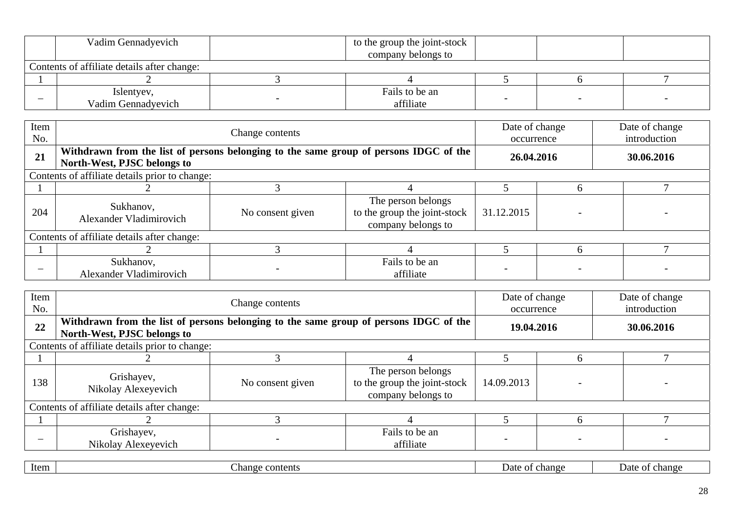| Vadim Gennadyevich                          |  | to the group the joint-stock |  |  |  |  |
|---------------------------------------------|--|------------------------------|--|--|--|--|
|                                             |  | company belongs to           |  |  |  |  |
| Contents of affiliate details after change: |  |                              |  |  |  |  |
|                                             |  |                              |  |  |  |  |
| Islentyev,<br>Vadim Gennadyevich            |  | Fails to be an<br>affiliate  |  |  |  |  |

| Item<br>No. |                                                | Change contents                                                                       | Date of change<br>occurrence                                             |            | Date of change<br>introduction |            |
|-------------|------------------------------------------------|---------------------------------------------------------------------------------------|--------------------------------------------------------------------------|------------|--------------------------------|------------|
| 21          | North-West, PJSC belongs to                    | Withdrawn from the list of persons belonging to the same group of persons IDGC of the |                                                                          |            | 26.04.2016                     | 30.06.2016 |
|             | Contents of affiliate details prior to change: |                                                                                       |                                                                          |            |                                |            |
|             |                                                |                                                                                       |                                                                          |            | h                              |            |
| 204         | Sukhanov,<br>Alexander Vladimirovich           | No consent given                                                                      | The person belongs<br>to the group the joint-stock<br>company belongs to | 31.12.2015 |                                |            |
|             | Contents of affiliate details after change:    |                                                                                       |                                                                          |            |                                |            |
|             |                                                |                                                                                       |                                                                          |            | $\mathsf{h}$                   |            |
|             | Sukhanov,<br>Alexander Vladimirovich           |                                                                                       | Fails to be an<br>affiliate                                              |            |                                |            |

| Item<br>No. |                                                | Change contents                                                                       | Date of change<br>occurrence                                             |            | Date of change<br>introduction |            |
|-------------|------------------------------------------------|---------------------------------------------------------------------------------------|--------------------------------------------------------------------------|------------|--------------------------------|------------|
| 22          | North-West, PJSC belongs to                    | Withdrawn from the list of persons belonging to the same group of persons IDGC of the |                                                                          |            | 19.04.2016                     | 30.06.2016 |
|             | Contents of affiliate details prior to change: |                                                                                       |                                                                          |            |                                |            |
|             |                                                |                                                                                       |                                                                          |            |                                |            |
| 138         | Grishayev,<br>Nikolay Alexeyevich              | No consent given                                                                      | The person belongs<br>to the group the joint-stock<br>company belongs to | 14.09.2013 |                                |            |
|             | Contents of affiliate details after change:    |                                                                                       |                                                                          |            |                                |            |
|             |                                                |                                                                                       |                                                                          |            | h                              |            |
|             | Grishayev,<br>Nikolay Alexeyevich              |                                                                                       | Fails to be an<br>affiliate                                              |            |                                |            |

|  | Item | contents<br>-nange | change<br>Jate | change<br>01<br>Ja |
|--|------|--------------------|----------------|--------------------|
|--|------|--------------------|----------------|--------------------|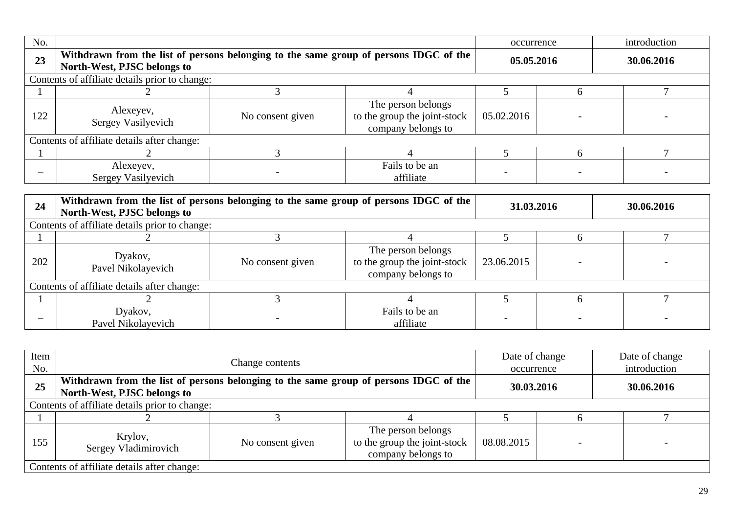| No. |                                                                                                                      |                  |                                                                          | occurrence | introduction |
|-----|----------------------------------------------------------------------------------------------------------------------|------------------|--------------------------------------------------------------------------|------------|--------------|
| 23  | Withdrawn from the list of persons belonging to the same group of persons IDGC of the<br>North-West, PJSC belongs to |                  |                                                                          | 05.05.2016 | 30.06.2016   |
|     | Contents of affiliate details prior to change:                                                                       |                  |                                                                          |            |              |
|     |                                                                                                                      |                  |                                                                          |            |              |
| 122 | Alexeyev,<br>Sergey Vasilyevich                                                                                      | No consent given | The person belongs<br>to the group the joint-stock<br>company belongs to | 05.02.2016 |              |
|     | Contents of affiliate details after change:                                                                          |                  |                                                                          |            |              |
|     |                                                                                                                      |                  |                                                                          |            |              |
|     | Alexeyev,<br>Sergey Vasilyevich                                                                                      |                  | Fails to be an<br>affiliate                                              |            |              |

| 24  | Withdrawn from the list of persons belonging to the same group of persons IDGC of the<br>North-West, PJSC belongs to |                  |                                                                          | 31.03.2016 | 30.06.2016 |  |
|-----|----------------------------------------------------------------------------------------------------------------------|------------------|--------------------------------------------------------------------------|------------|------------|--|
|     | Contents of affiliate details prior to change:                                                                       |                  |                                                                          |            |            |  |
|     |                                                                                                                      |                  |                                                                          |            |            |  |
| 202 | Dyakov,<br>Pavel Nikolayevich                                                                                        | No consent given | The person belongs<br>to the group the joint-stock<br>company belongs to | 23.06.2015 |            |  |
|     | Contents of affiliate details after change:                                                                          |                  |                                                                          |            |            |  |
|     |                                                                                                                      |                  |                                                                          |            |            |  |
|     | Dyakov,<br>Pavel Nikolayevich                                                                                        |                  | Fails to be an<br>affiliate                                              |            |            |  |

| Item<br>No. |                                                                                                                      | Change contents  |                                                                          | Date of change<br>occurrence |  | Date of change<br>introduction |
|-------------|----------------------------------------------------------------------------------------------------------------------|------------------|--------------------------------------------------------------------------|------------------------------|--|--------------------------------|
| 25          | Withdrawn from the list of persons belonging to the same group of persons IDGC of the<br>North-West, PJSC belongs to | 30.03.2016       |                                                                          | 30.06.2016                   |  |                                |
|             | Contents of affiliate details prior to change:                                                                       |                  |                                                                          |                              |  |                                |
|             |                                                                                                                      |                  |                                                                          |                              |  |                                |
| 155         | Krylov,<br>Sergey Vladimirovich                                                                                      | No consent given | The person belongs<br>to the group the joint-stock<br>company belongs to | 08.08.2015                   |  |                                |
|             | Contents of affiliate details after change:                                                                          |                  |                                                                          |                              |  |                                |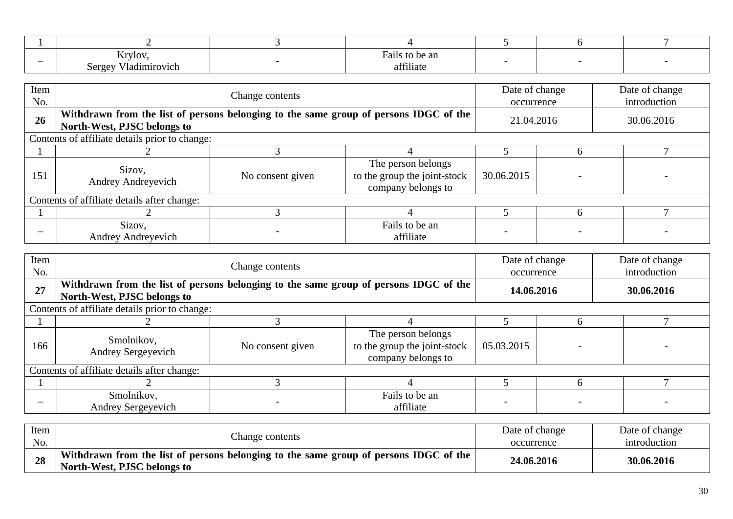| $\overline{\phantom{a}}$ | <b>Arylov</b><br>'ladımırovıch<br><b>NVI</b> | Fails to be an<br>0.011<br>∙iliate |  |  |
|--------------------------|----------------------------------------------|------------------------------------|--|--|

| Item<br>No. |                                                | Change contents                                                                       |                                                                          | Date of change<br>occurrence |            | Date of change<br>introduction |
|-------------|------------------------------------------------|---------------------------------------------------------------------------------------|--------------------------------------------------------------------------|------------------------------|------------|--------------------------------|
| 26          | North-West, PJSC belongs to                    | Withdrawn from the list of persons belonging to the same group of persons IDGC of the |                                                                          |                              | 21.04.2016 | 30.06.2016                     |
|             | Contents of affiliate details prior to change: |                                                                                       |                                                                          |                              |            |                                |
|             |                                                |                                                                                       |                                                                          |                              | h          |                                |
| 151         | Sizov,<br>Andrey Andreyevich                   | No consent given                                                                      | The person belongs<br>to the group the joint-stock<br>company belongs to | 30.06.2015                   |            |                                |
|             | Contents of affiliate details after change:    |                                                                                       |                                                                          |                              |            |                                |
|             |                                                |                                                                                       |                                                                          |                              |            |                                |
|             | Sizov,<br><b>Andrey Andreyevich</b>            |                                                                                       | Fails to be an<br>affiliate                                              |                              |            |                                |

| Item<br>No. |                                                | Change contents                                                                       | Date of change<br>occurrence                                             |            | Date of change<br>introduction |            |
|-------------|------------------------------------------------|---------------------------------------------------------------------------------------|--------------------------------------------------------------------------|------------|--------------------------------|------------|
| 27          | North-West, PJSC belongs to                    | Withdrawn from the list of persons belonging to the same group of persons IDGC of the |                                                                          |            | 14.06.2016                     | 30.06.2016 |
|             | Contents of affiliate details prior to change: |                                                                                       |                                                                          |            |                                |            |
|             |                                                |                                                                                       |                                                                          |            | h                              |            |
| 166         | Smolnikov,<br>Andrey Sergeyevich               | No consent given                                                                      | The person belongs<br>to the group the joint-stock<br>company belongs to | 05.03.2015 |                                |            |
|             | Contents of affiliate details after change:    |                                                                                       |                                                                          |            |                                |            |
|             |                                                |                                                                                       |                                                                          |            |                                |            |
|             | Smolnikov,<br>Andrey Sergeyevich               |                                                                                       | Fails to be an<br>affiliate                                              |            |                                |            |

| Item | Change contents                                                                                                      | Date of change | Date of change |  |
|------|----------------------------------------------------------------------------------------------------------------------|----------------|----------------|--|
| No.  |                                                                                                                      | occurrence     | introduction   |  |
| 28   | Withdrawn from the list of persons belonging to the same group of persons IDGC of the<br>North-West, PJSC belongs to | 24.06.2016     | 30.06.2016     |  |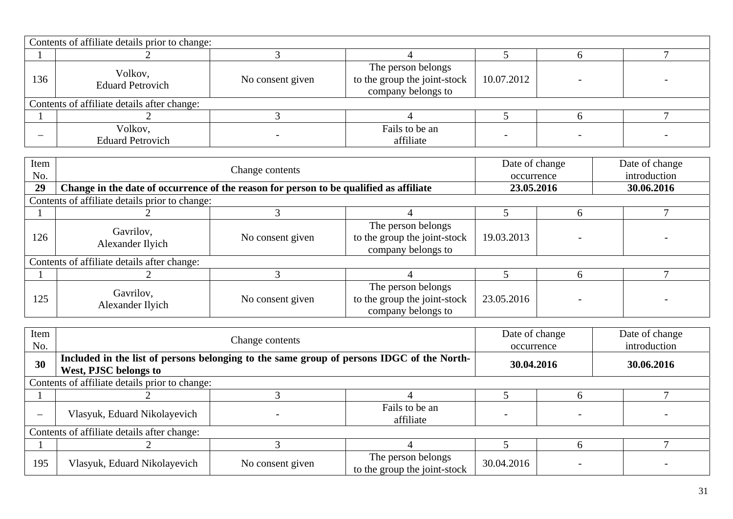|     | Contents of affiliate details prior to change: |                  |                                                                          |            |  |
|-----|------------------------------------------------|------------------|--------------------------------------------------------------------------|------------|--|
|     |                                                |                  |                                                                          |            |  |
| 136 | Volkov,<br><b>Eduard Petrovich</b>             | No consent given | The person belongs<br>to the group the joint-stock<br>company belongs to | 10.07.2012 |  |
|     | Contents of affiliate details after change:    |                  |                                                                          |            |  |
|     |                                                |                  |                                                                          |            |  |
|     | Volkov,<br><b>Eduard Petrovich</b>             |                  | Fails to be an<br>affiliate                                              |            |  |

| Item<br>No. | Change contents                                                                        |                  |                                                                          |            | Date of change<br>occurrence | Date of change<br>introduction |
|-------------|----------------------------------------------------------------------------------------|------------------|--------------------------------------------------------------------------|------------|------------------------------|--------------------------------|
| 29          | Change in the date of occurrence of the reason for person to be qualified as affiliate |                  |                                                                          |            | 23.05.2016                   | 30.06.2016                     |
|             | Contents of affiliate details prior to change:                                         |                  |                                                                          |            |                              |                                |
|             |                                                                                        |                  |                                                                          |            |                              |                                |
| 126         | Gavrilov,<br>Alexander Ilyich                                                          | No consent given | The person belongs<br>to the group the joint-stock<br>company belongs to | 19.03.2013 |                              |                                |
|             | Contents of affiliate details after change:                                            |                  |                                                                          |            |                              |                                |
|             |                                                                                        |                  |                                                                          |            | h                            |                                |
| 125         | Gavrilov,<br>Alexander Ilyich                                                          | No consent given | The person belongs<br>to the group the joint-stock<br>company belongs to | 23.05.2016 |                              |                                |

| Item<br>No.              |                                                                                                                           | Change contents  |                                                    |            |  | Date of change<br>introduction |  |  |
|--------------------------|---------------------------------------------------------------------------------------------------------------------------|------------------|----------------------------------------------------|------------|--|--------------------------------|--|--|
| 30                       | Included in the list of persons belonging to the same group of persons IDGC of the North-<br><b>West, PJSC belongs to</b> |                  |                                                    | 30.04.2016 |  | 30.06.2016                     |  |  |
|                          | Contents of affiliate details prior to change:                                                                            |                  |                                                    |            |  |                                |  |  |
|                          |                                                                                                                           |                  |                                                    |            |  |                                |  |  |
| $\overline{\phantom{0}}$ | Vlasyuk, Eduard Nikolayevich                                                                                              |                  | Fails to be an<br>affiliate                        |            |  |                                |  |  |
|                          | Contents of affiliate details after change:                                                                               |                  |                                                    |            |  |                                |  |  |
|                          |                                                                                                                           |                  |                                                    |            |  |                                |  |  |
| 195                      | Vlasyuk, Eduard Nikolayevich                                                                                              | No consent given | The person belongs<br>to the group the joint-stock | 30.04.2016 |  |                                |  |  |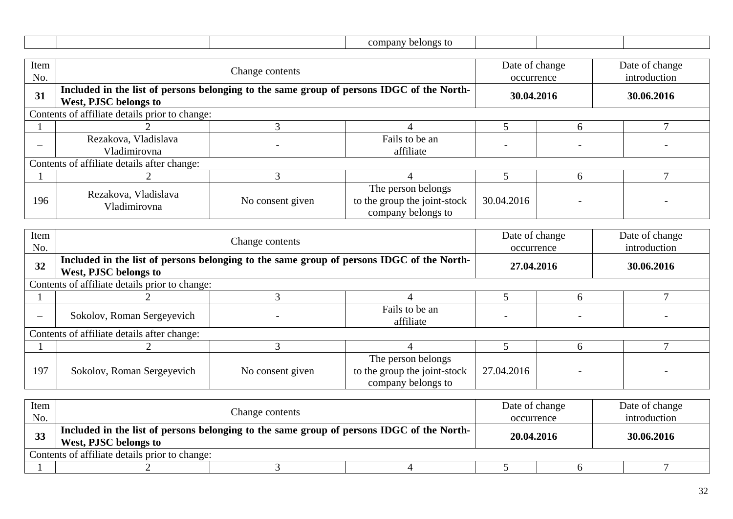|                          |                                                                                                                    |                                                                                           | company belongs to                                                       |                              |                              |                                |  |
|--------------------------|--------------------------------------------------------------------------------------------------------------------|-------------------------------------------------------------------------------------------|--------------------------------------------------------------------------|------------------------------|------------------------------|--------------------------------|--|
| Item<br>No.              |                                                                                                                    | Change contents                                                                           |                                                                          |                              | Date of change<br>occurrence | Date of change<br>introduction |  |
| 31                       | West, PJSC belongs to                                                                                              | Included in the list of persons belonging to the same group of persons IDGC of the North- |                                                                          |                              | 30.04.2016                   | 30.06.2016                     |  |
|                          | Contents of affiliate details prior to change:                                                                     |                                                                                           |                                                                          |                              |                              |                                |  |
|                          |                                                                                                                    | 3                                                                                         | 4                                                                        | 5                            | 6                            | $\tau$                         |  |
|                          | Rezakova, Vladislava<br>Vladimirovna                                                                               |                                                                                           | Fails to be an<br>affiliate                                              | $\overline{\phantom{0}}$     |                              |                                |  |
|                          | Contents of affiliate details after change:                                                                        |                                                                                           |                                                                          |                              |                              |                                |  |
|                          | $\overline{2}$                                                                                                     | 3                                                                                         | 4                                                                        | 5                            | 6                            | $\tau$                         |  |
| 196                      | Rezakova, Vladislava<br>Vladimirovna                                                                               | No consent given                                                                          | The person belongs<br>to the group the joint-stock<br>company belongs to | 30.04.2016                   |                              |                                |  |
| Item<br>No.              |                                                                                                                    | Change contents                                                                           |                                                                          | Date of change<br>occurrence |                              | Date of change<br>introduction |  |
| 32                       | Included in the list of persons belonging to the same group of persons IDGC of the North-<br>West, PJSC belongs to |                                                                                           |                                                                          | 27.04.2016                   |                              | 30.06.2016                     |  |
|                          | Contents of affiliate details prior to change:                                                                     |                                                                                           |                                                                          |                              |                              |                                |  |
|                          |                                                                                                                    | 3                                                                                         | 4                                                                        | 5                            | 6                            | $\tau$                         |  |
| $\overline{\phantom{0}}$ | Sokolov, Roman Sergeyevich                                                                                         |                                                                                           | Fails to be an<br>affiliate                                              |                              |                              |                                |  |
|                          | Contents of affiliate details after change:                                                                        |                                                                                           |                                                                          |                              |                              |                                |  |
|                          |                                                                                                                    | $\overline{3}$                                                                            | $\overline{4}$                                                           | 5                            | 6                            | $\tau$                         |  |
| 197                      | Sokolov, Roman Sergeyevich                                                                                         | No consent given                                                                          | The person belongs<br>to the group the joint-stock<br>company belongs to | 27.04.2016                   |                              |                                |  |

| Item      | Change contents                                                                                                    |  |  |            | Date of change | Date of change |  |  |
|-----------|--------------------------------------------------------------------------------------------------------------------|--|--|------------|----------------|----------------|--|--|
| No.       |                                                                                                                    |  |  | occurrence |                | introduction   |  |  |
| <b>33</b> | Included in the list of persons belonging to the same group of persons IDGC of the North-<br>West, PJSC belongs to |  |  |            | 20.04.2016     | 30.06.2016     |  |  |
|           | Contents of affiliate details prior to change:                                                                     |  |  |            |                |                |  |  |
|           |                                                                                                                    |  |  |            |                |                |  |  |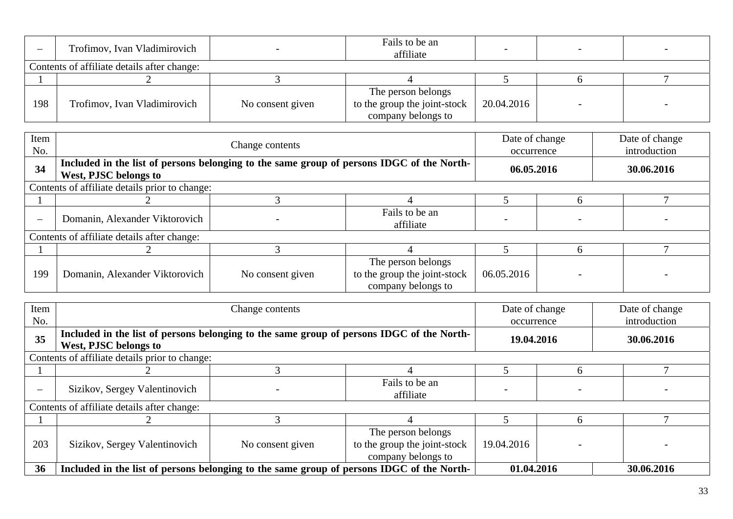| $\overline{\phantom{0}}$ | Trofimov, Ivan Vladimirovich                |                  | Fails to be an<br>affiliate                                              |            |  |  |  |  |
|--------------------------|---------------------------------------------|------------------|--------------------------------------------------------------------------|------------|--|--|--|--|
|                          | Contents of affiliate details after change: |                  |                                                                          |            |  |  |  |  |
|                          |                                             |                  |                                                                          |            |  |  |  |  |
| 198                      | Trofimov, Ivan Vladimirovich                | No consent given | The person belongs<br>to the group the joint-stock<br>company belongs to | 20.04.2016 |  |  |  |  |

| Item<br>No. | Change contents                                                                                                    |                  |                                                                          |            | Date of change<br>occurrence | Date of change<br>introduction |  |  |
|-------------|--------------------------------------------------------------------------------------------------------------------|------------------|--------------------------------------------------------------------------|------------|------------------------------|--------------------------------|--|--|
| 34          | Included in the list of persons belonging to the same group of persons IDGC of the North-<br>West, PJSC belongs to |                  |                                                                          |            | 06.05.2016                   | 30.06.2016                     |  |  |
|             | Contents of affiliate details prior to change:                                                                     |                  |                                                                          |            |                              |                                |  |  |
|             |                                                                                                                    |                  |                                                                          |            | h                            |                                |  |  |
|             | Domanin, Alexander Viktorovich                                                                                     |                  | Fails to be an<br>affiliate                                              |            | $\overline{\phantom{a}}$     |                                |  |  |
|             | Contents of affiliate details after change:                                                                        |                  |                                                                          |            |                              |                                |  |  |
|             |                                                                                                                    |                  |                                                                          |            |                              |                                |  |  |
| 199         | Domanin, Alexander Viktorovich                                                                                     | No consent given | The person belongs<br>to the group the joint-stock<br>company belongs to | 06.05.2016 |                              |                                |  |  |

| Item |                                                                                                                    | Change contents  |                              |            |            | Date of change |  |  |
|------|--------------------------------------------------------------------------------------------------------------------|------------------|------------------------------|------------|------------|----------------|--|--|
| No.  |                                                                                                                    |                  |                              |            |            | introduction   |  |  |
| 35   | Included in the list of persons belonging to the same group of persons IDGC of the North-<br>West, PJSC belongs to |                  |                              |            | 19.04.2016 | 30.06.2016     |  |  |
|      |                                                                                                                    |                  |                              |            |            |                |  |  |
|      | Contents of affiliate details prior to change:                                                                     |                  |                              |            |            |                |  |  |
|      |                                                                                                                    |                  |                              |            | h          |                |  |  |
|      | Sizikov, Sergey Valentinovich                                                                                      |                  | Fails to be an               |            |            |                |  |  |
|      |                                                                                                                    |                  | affiliate                    |            |            |                |  |  |
|      | Contents of affiliate details after change:                                                                        |                  |                              |            |            |                |  |  |
|      |                                                                                                                    |                  |                              |            |            |                |  |  |
|      |                                                                                                                    |                  | The person belongs           |            |            |                |  |  |
| 203  | Sizikov, Sergey Valentinovich                                                                                      | No consent given | to the group the joint-stock | 19.04.2016 |            |                |  |  |
|      |                                                                                                                    |                  | company belongs to           |            |            |                |  |  |
| 36   | Included in the list of persons belonging to the same group of persons IDGC of the North-                          |                  |                              | 01.04.2016 |            | 30.06.2016     |  |  |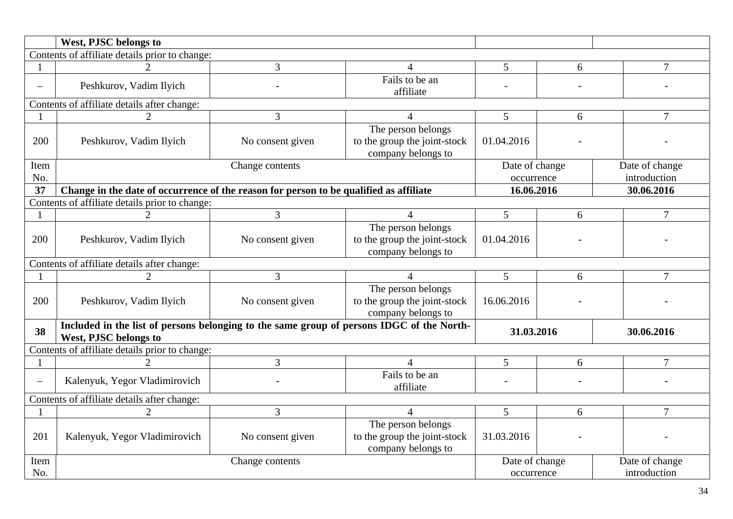|                          | West, PJSC belongs to                                                                                              |                  |                                                                          |                          |                                  |                |  |  |
|--------------------------|--------------------------------------------------------------------------------------------------------------------|------------------|--------------------------------------------------------------------------|--------------------------|----------------------------------|----------------|--|--|
|                          | Contents of affiliate details prior to change:                                                                     |                  |                                                                          |                          |                                  |                |  |  |
|                          |                                                                                                                    | 3                | 4                                                                        | 5                        | 6                                | $\tau$         |  |  |
| $\overline{\phantom{0}}$ | Peshkurov, Vadim Ilyich                                                                                            |                  | Fails to be an<br>affiliate                                              |                          |                                  |                |  |  |
|                          | Contents of affiliate details after change:                                                                        |                  |                                                                          |                          |                                  |                |  |  |
|                          | $\overline{2}$                                                                                                     | 3                | $\overline{4}$                                                           | 5                        | 6                                | $\tau$         |  |  |
| 200                      | Peshkurov, Vadim Ilyich                                                                                            | No consent given | The person belongs<br>to the group the joint-stock<br>company belongs to | 01.04.2016               |                                  |                |  |  |
| Item                     |                                                                                                                    | Change contents  |                                                                          | Date of change           |                                  | Date of change |  |  |
| No.                      |                                                                                                                    |                  |                                                                          | occurrence               |                                  | introduction   |  |  |
| 37                       | Change in the date of occurrence of the reason for person to be qualified as affiliate<br>16.06.2016               |                  |                                                                          |                          |                                  | 30.06.2016     |  |  |
|                          | Contents of affiliate details prior to change:                                                                     |                  |                                                                          |                          |                                  |                |  |  |
|                          | 2                                                                                                                  | 3                | $\overline{4}$                                                           | 5                        | 6                                | 7              |  |  |
| 200                      | Peshkurov, Vadim Ilyich                                                                                            | No consent given | The person belongs<br>to the group the joint-stock<br>company belongs to | 01.04.2016               |                                  |                |  |  |
|                          | Contents of affiliate details after change:                                                                        |                  |                                                                          |                          |                                  |                |  |  |
|                          | $\overline{2}$                                                                                                     | 3                | 4                                                                        | 5                        | 6                                | $\overline{7}$ |  |  |
| 200                      | Peshkurov, Vadim Ilyich                                                                                            | No consent given | The person belongs<br>to the group the joint-stock<br>company belongs to | 16.06.2016               |                                  |                |  |  |
| 38                       | Included in the list of persons belonging to the same group of persons IDGC of the North-<br>West, PJSC belongs to |                  |                                                                          | 31.03.2016               |                                  | 30.06.2016     |  |  |
|                          | Contents of affiliate details prior to change:                                                                     |                  |                                                                          |                          |                                  |                |  |  |
|                          |                                                                                                                    | 3                | $\overline{4}$                                                           | 5                        | 6                                | $\overline{7}$ |  |  |
| $\qquad \qquad -$        | Kalenyuk, Yegor Vladimirovich                                                                                      |                  | Fails to be an<br>affiliate                                              | $\overline{\phantom{0}}$ |                                  |                |  |  |
|                          | Contents of affiliate details after change:                                                                        |                  |                                                                          |                          |                                  |                |  |  |
|                          | $\overline{2}$                                                                                                     | $\overline{3}$   | $\overline{4}$                                                           | 5                        | 6                                | $\overline{7}$ |  |  |
| 201                      | Kalenyuk, Yegor Vladimirovich                                                                                      | No consent given | The person belongs<br>to the group the joint-stock<br>company belongs to | 31.03.2016               |                                  |                |  |  |
| Item                     |                                                                                                                    | Change contents  |                                                                          |                          | Date of change<br>Date of change |                |  |  |
| No.                      |                                                                                                                    |                  |                                                                          | occurrence               |                                  | introduction   |  |  |